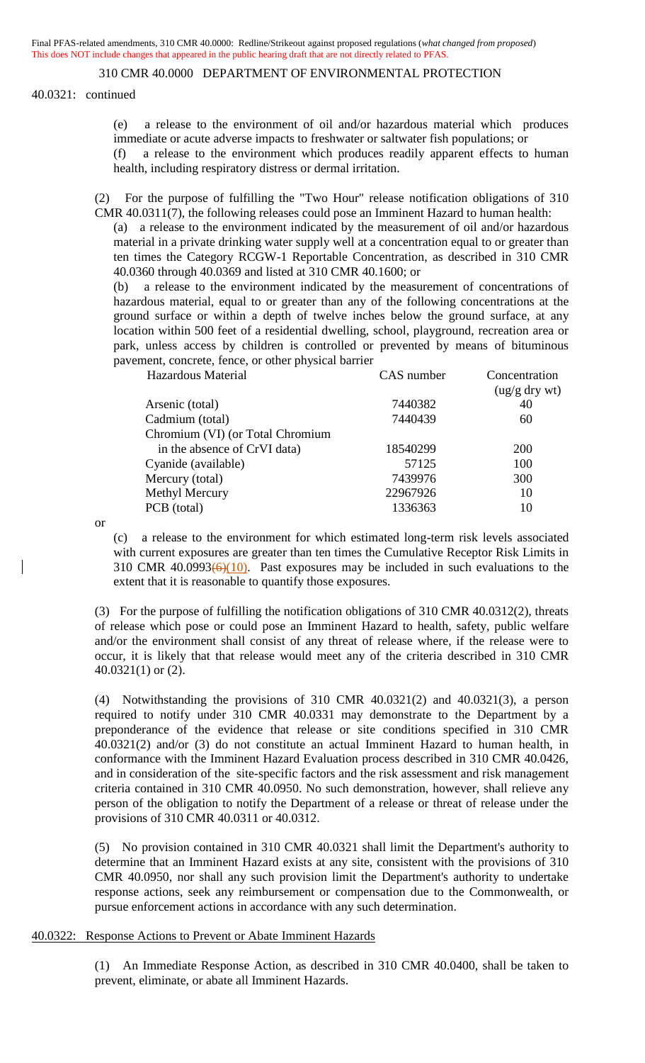40.0321: continued

(e) a release to the environment of oil and/or hazardous material which produces immediate or acute adverse impacts to freshwater or saltwater fish populations; or (f) a release to the environment which produces readily apparent effects to human

health, including respiratory distress or dermal irritation.

(2) For the purpose of fulfilling the "Two Hour" release notification obligations of 310 CMR 40.0311(7), the following releases could pose an Imminent Hazard to human health:

(a) a release to the environment indicated by the measurement of oil and/or hazardous material in a private drinking water supply well at a concentration equal to or greater than ten times the Category RCGW-1 Reportable Concentration, as described in 310 CMR 40.0360 through 40.0369 and listed at 310 CMR 40.1600; or

(b) a release to the environment indicated by the measurement of concentrations of hazardous material, equal to or greater than any of the following concentrations at the ground surface or within a depth of twelve inches below the ground surface, at any location within 500 feet of a residential dwelling, school, playground, recreation area or park, unless access by children is controlled or prevented by means of bituminous pavement, concrete, fence, or other physical barrier

|          | Concentration<br>(ug/g dry wt) |
|----------|--------------------------------|
| 7440382  | 40                             |
| 7440439  | 60                             |
|          |                                |
| 18540299 | <b>200</b>                     |
| 57125    | 100                            |
| 7439976  | 300                            |
|          | 10                             |
| 1336363  | 10                             |
|          | CAS number<br>22967926         |

or

(c) a release to the environment for which estimated long-term risk levels associated with current exposures are greater than ten times the Cumulative Receptor Risk Limits in 310 CMR 40.0993 $(6)(10)$ . Past exposures may be included in such evaluations to the extent that it is reasonable to quantify those exposures.

(3) For the purpose of fulfilling the notification obligations of 310 CMR 40.0312(2), threats of release which pose or could pose an Imminent Hazard to health, safety, public welfare and/or the environment shall consist of any threat of release where, if the release were to occur, it is likely that that release would meet any of the criteria described in 310 CMR 40.0321(1) or (2).

(4) Notwithstanding the provisions of 310 CMR 40.0321(2) and 40.0321(3), a person required to notify under 310 CMR 40.0331 may demonstrate to the Department by a preponderance of the evidence that release or site conditions specified in 310 CMR 40.0321(2) and/or (3) do not constitute an actual Imminent Hazard to human health, in conformance with the Imminent Hazard Evaluation process described in 310 CMR 40.0426, and in consideration of the site-specific factors and the risk assessment and risk management criteria contained in 310 CMR 40.0950. No such demonstration, however, shall relieve any person of the obligation to notify the Department of a release or threat of release under the provisions of 310 CMR 40.0311 or 40.0312.

(5) No provision contained in 310 CMR 40.0321 shall limit the Department's authority to determine that an Imminent Hazard exists at any site, consistent with the provisions of 310 CMR 40.0950, nor shall any such provision limit the Department's authority to undertake response actions, seek any reimbursement or compensation due to the Commonwealth, or pursue enforcement actions in accordance with any such determination.

#### 40.0322: Response Actions to Prevent or Abate Imminent Hazards

(1) An Immediate Response Action, as described in 310 CMR 40.0400, shall be taken to prevent, eliminate, or abate all Imminent Hazards.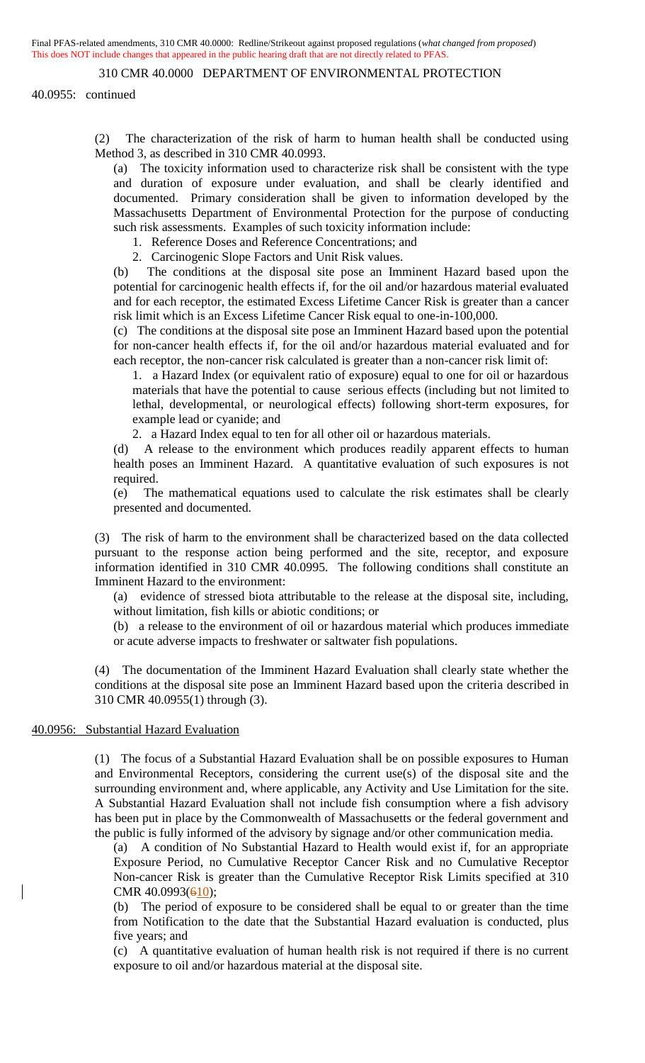#### 310 CMR 40.0000 DEPARTMENT OF ENVIRONMENTAL PROTECTION

40.0955: continued

(2) The characterization of the risk of harm to human health shall be conducted using Method 3, as described in 310 CMR 40.0993.

(a) The toxicity information used to characterize risk shall be consistent with the type and duration of exposure under evaluation, and shall be clearly identified and documented. Primary consideration shall be given to information developed by the Massachusetts Department of Environmental Protection for the purpose of conducting such risk assessments. Examples of such toxicity information include:

- 1. Reference Doses and Reference Concentrations; and
- 2. Carcinogenic Slope Factors and Unit Risk values.

(b) The conditions at the disposal site pose an Imminent Hazard based upon the potential for carcinogenic health effects if, for the oil and/or hazardous material evaluated and for each receptor, the estimated Excess Lifetime Cancer Risk is greater than a cancer risk limit which is an Excess Lifetime Cancer Risk equal to one-in-100,000.

(c) The conditions at the disposal site pose an Imminent Hazard based upon the potential for non-cancer health effects if, for the oil and/or hazardous material evaluated and for each receptor, the non-cancer risk calculated is greater than a non-cancer risk limit of:

1. a Hazard Index (or equivalent ratio of exposure) equal to one for oil or hazardous materials that have the potential to cause serious effects (including but not limited to lethal, developmental, or neurological effects) following short-term exposures, for example lead or cyanide; and

2. a Hazard Index equal to ten for all other oil or hazardous materials.

(d) A release to the environment which produces readily apparent effects to human health poses an Imminent Hazard. A quantitative evaluation of such exposures is not required.

(e) The mathematical equations used to calculate the risk estimates shall be clearly presented and documented.

(3) The risk of harm to the environment shall be characterized based on the data collected pursuant to the response action being performed and the site, receptor, and exposure information identified in 310 CMR 40.0995. The following conditions shall constitute an Imminent Hazard to the environment:

(a) evidence of stressed biota attributable to the release at the disposal site, including, without limitation, fish kills or abiotic conditions; or

(b) a release to the environment of oil or hazardous material which produces immediate or acute adverse impacts to freshwater or saltwater fish populations.

(4) The documentation of the Imminent Hazard Evaluation shall clearly state whether the conditions at the disposal site pose an Imminent Hazard based upon the criteria described in 310 CMR 40.0955(1) through (3).

#### 40.0956: Substantial Hazard Evaluation

(1) The focus of a Substantial Hazard Evaluation shall be on possible exposures to Human and Environmental Receptors, considering the current use(s) of the disposal site and the surrounding environment and, where applicable, any Activity and Use Limitation for the site. A Substantial Hazard Evaluation shall not include fish consumption where a fish advisory has been put in place by the Commonwealth of Massachusetts or the federal government and the public is fully informed of the advisory by signage and/or other communication media.

(a) A condition of No Substantial Hazard to Health would exist if, for an appropriate Exposure Period, no Cumulative Receptor Cancer Risk and no Cumulative Receptor Non-cancer Risk is greater than the Cumulative Receptor Risk Limits specified at 310 CMR  $40.0993(610)$ ;

(b) The period of exposure to be considered shall be equal to or greater than the time from Notification to the date that the Substantial Hazard evaluation is conducted, plus five years; and

(c) A quantitative evaluation of human health risk is not required if there is no current exposure to oil and/or hazardous material at the disposal site.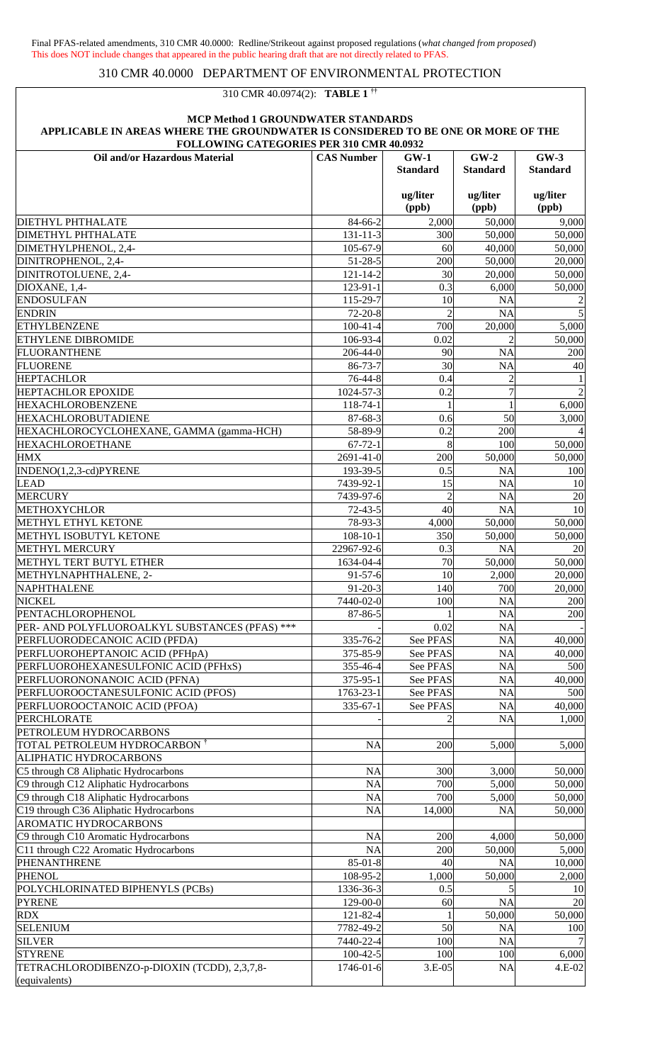# 310 CMR 40.0974(2): **TABLE 1 ††**

| <b>FOLLOWING CATEGORIES PER 310 CMR 40.0932</b>   |                         |                           |                           |                           |
|---------------------------------------------------|-------------------------|---------------------------|---------------------------|---------------------------|
| Oil and/or Hazardous Material                     | <b>CAS Number</b>       | $GW-1$<br><b>Standard</b> | $GW-2$<br><b>Standard</b> | $GW-3$<br><b>Standard</b> |
|                                                   |                         | ug/liter<br>(ppb)         | ug/liter<br>(ppb)         | ug/liter<br>(ppb)         |
| <b>DIETHYL PHTHALATE</b>                          | 84-66-2                 | 2,000                     | 50,000                    | 9,000                     |
| DIMETHYL PHTHALATE                                | $131 - 11 - 3$          | 300                       | 50,000                    | 50,000                    |
| DIMETHYLPHENOL, 2,4-                              | 105-67-9                | 60                        | 40,000                    | 50,000                    |
| DINITROPHENOL, 2,4-                               | $51 - 28 - 5$           | 200                       | 50,000                    | 20,000                    |
| DINITROTOLUENE, 2,4-                              | $121 - 14 - 2$          | 30                        | 20,000                    | 50,000                    |
| DIOXANE, 1,4-                                     | 123-91-1                | 0.3                       | 6,000                     | 50,000                    |
| <b>ENDOSULFAN</b>                                 | 115-29-7                | 10                        | <b>NA</b>                 | $\overline{\mathbf{c}}$   |
| <b>ENDRIN</b>                                     | $72 - 20 - 8$           | $\overline{2}$            | <b>NA</b>                 | 5                         |
| <b>ETHYLBENZENE</b>                               | $100 - 41 - 4$          | 700                       | 20,000                    | 5,000                     |
| ETHYLENE DIBROMIDE                                | 106-93-4                | 0.02                      |                           | 50,000                    |
| <b>FLUORANTHENE</b>                               | 206-44-0                | 90                        | <b>NA</b>                 | 200                       |
| <b>FLUORENE</b><br><b>HEPTACHLOR</b>              | 86-73-7<br>76-44-8      | 30<br>0.4                 | <b>NA</b>                 | 40                        |
| <b>HEPTACHLOR EPOXIDE</b>                         | 1024-57-3               | 0.2                       | $\overline{7}$            | $\overline{2}$            |
| <b>HEXACHLOROBENZENE</b>                          | 118-74-1                |                           |                           | 6,000                     |
| HEXACHLOROBUTADIENE                               | 87-68-3                 | 0.6                       | 50                        | 3,000                     |
| HEXACHLOROCYCLOHEXANE, GAMMA (gamma-HCH)          | 58-89-9                 | 0.2                       | 200                       |                           |
| <b>HEXACHLOROETHANE</b>                           | $67 - 72 - 1$           | 8                         | 100                       | 50,000                    |
| <b>HMX</b>                                        | 2691-41-0               | 200                       | 50,000                    | 50,000                    |
| INDENO(1,2,3-cd)PYRENE                            | 193-39-5                | 0.5                       | <b>NA</b>                 | 100                       |
| <b>LEAD</b>                                       | 7439-92-1               | 15                        | <b>NA</b>                 | 10                        |
| <b>MERCURY</b>                                    | 7439-97-6               | $\overline{c}$            | <b>NA</b>                 | 20                        |
| <b>METHOXYCHLOR</b>                               | $72 - 43 - 5$           | 40                        | <b>NA</b>                 | 10                        |
| METHYL ETHYL KETONE                               | 78-93-3                 | 4,000                     | 50,000                    | 50,000                    |
| METHYL ISOBUTYL KETONE                            | $108 - 10 - 1$          | 350                       | 50,000                    | 50,000                    |
| <b>METHYL MERCURY</b><br>METHYL TERT BUTYL ETHER  | 22967-92-6<br>1634-04-4 | 0.3<br>70                 | <b>NA</b>                 | 20<br>50,000              |
| METHYLNAPHTHALENE, 2-                             | $91 - 57 - 6$           | 10                        | 50,000<br>2,000           | 20,000                    |
| NAPHTHALENE                                       | $91 - 20 - 3$           | 140                       | 700                       | 20,000                    |
| <b>NICKEL</b>                                     | 7440-02-0               | 100                       | <b>NA</b>                 | 200                       |
| PENTACHLOROPHENOL                                 | 87-86-5                 |                           | <b>NA</b>                 | 200                       |
| PER- AND POLYFLUOROALKYL SUBSTANCES (PFAS) ***    |                         | 0.02                      | <b>NA</b>                 |                           |
| PERFLUORODECANOIC ACID (PFDA)                     | 335-76-2                | See PFAS                  | <b>NA</b>                 | 40,000                    |
| PERFLUOROHEPTANOIC ACID (PFHpA)                   | 375-85-9                | See PFAS                  | <b>NA</b>                 | 40,000                    |
| PERFLUOROHEXANESULFONIC ACID (PFHxS)              | 355-46-4                | See PFAS                  | <b>NA</b>                 | 500                       |
| PERFLUORONONANOIC ACID (PFNA)                     | 375-95-1                | See PFAS                  | <b>NA</b>                 | 40,000                    |
| PERFLUOROOCTANESULFONIC ACID (PFOS)               | 1763-23-1               | See PFAS                  | <b>NA</b>                 | 500                       |
| PERFLUOROOCTANOIC ACID (PFOA)                     | $335 - 67 - 1$          | See PFAS                  | <b>NA</b>                 | 40,000                    |
| <b>PERCHLORATE</b><br>PETROLEUM HYDROCARBONS      |                         |                           | <b>NA</b>                 | 1,000                     |
| TOTAL PETROLEUM HYDROCARBON <sup>†</sup>          | <b>NA</b>               | 200                       | 5,000                     | 5,000                     |
| ALIPHATIC HYDROCARBONS                            |                         |                           |                           |                           |
| C5 through C8 Aliphatic Hydrocarbons              | <b>NA</b>               | 300                       | 3,000                     | 50,000                    |
| C9 through C12 Aliphatic Hydrocarbons             | <b>NA</b>               | 700                       | 5,000                     | 50,000                    |
| C9 through C18 Aliphatic Hydrocarbons             | <b>NA</b>               | 700                       | 5,000                     | 50,000                    |
| C19 through C36 Aliphatic Hydrocarbons            | <b>NA</b>               | 14,000                    | <b>NA</b>                 | 50,000                    |
| <b>AROMATIC HYDROCARBONS</b>                      |                         |                           |                           |                           |
| C9 through C10 Aromatic Hydrocarbons              | <b>NA</b>               | 200                       | 4,000                     | 50,000                    |
| C11 through C22 Aromatic Hydrocarbons             | <b>NA</b>               | 200                       | 50,000                    | 5,000                     |
| PHENANTHRENE                                      | $85 - 01 - 8$           | 40                        | <b>NA</b>                 | 10,000                    |
| <b>PHENOL</b><br>POLYCHLORINATED BIPHENYLS (PCBs) | 108-95-2<br>1336-36-3   | 1,000<br>0.5              | 50,000                    | 2,000                     |
| <b>PYRENE</b>                                     | 129-00-0                | 60                        | <b>NA</b>                 | 10<br>20                  |
| <b>RDX</b>                                        | 121-82-4                |                           | 50,000                    | 50,000                    |
| <b>SELENIUM</b>                                   | 7782-49-2               | 50                        | <b>NA</b>                 | 100                       |
| <b>SILVER</b>                                     | 7440-22-4               | 100                       | <b>NA</b>                 | 7 <sup>1</sup>            |
| <b>STYRENE</b>                                    | $100 - 42 - 5$          | 100                       | 100                       | 6,000                     |
| TETRACHLORODIBENZO-p-DIOXIN (TCDD), 2,3,7,8-      | 1746-01-6               | 3.E-05                    | <b>NA</b>                 | 4.E-02                    |
| (equivalents)                                     |                         |                           |                           |                           |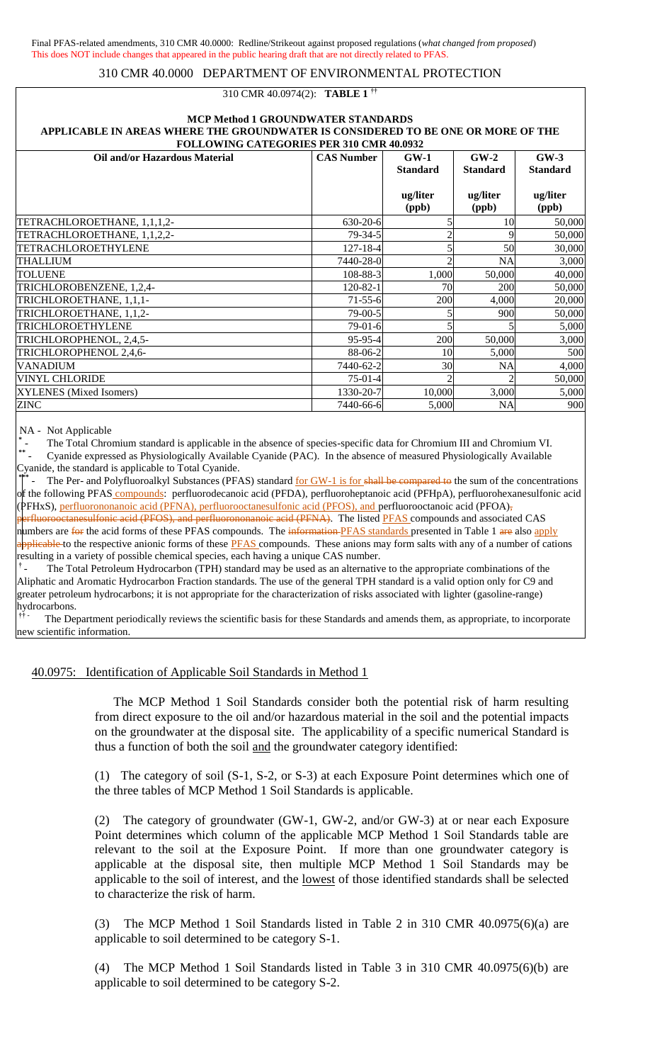## 310 CMR 40.0974(2): **TABLE 1 ††**

#### **MCP Method 1 GROUNDWATER STANDARDS APPLICABLE IN AREAS WHERE THE GROUNDWATER IS CONSIDERED TO BE ONE OR MORE OF THE FOLLOWING CATEGORIES PER 310 CMR 40.0932**

| Oil and/or Hazardous Material<br>$GW-3$<br><b>CAS Number</b><br>$GW-1$<br>$GW-2$<br><b>Standard</b><br><b>Standard</b><br><b>Standard</b><br>ug/liter<br>ug/liter<br>ug/liter<br>(ppb)<br>(ppb)<br>(ppb)<br>$630 - 20 - 6$<br>10<br>$79 - 34 - 5$<br>$127 - 18 - 4$<br>50<br>7440-28-0<br><b>NA</b><br>108-88-3<br>1,000<br>50,000<br>120-82-1<br>200<br>70<br>$71 - 55 - 6$<br>200<br>4.000<br>$79-00-5$<br>900<br>$79-01-6$<br>$95 - 95 - 4$<br>200<br>50,000<br>88-06-2<br>5,000<br>10<br>7440-62-2<br>30<br><b>NA</b><br>$75-01-4$<br>1330-20-7<br>10,000<br>3,000<br>7440-66-6<br><b>NA</b><br>5,000 | TULLUWING CATEGONIES I EN 310 CMIN <del>1</del> 0.0232 |  |        |
|-----------------------------------------------------------------------------------------------------------------------------------------------------------------------------------------------------------------------------------------------------------------------------------------------------------------------------------------------------------------------------------------------------------------------------------------------------------------------------------------------------------------------------------------------------------------------------------------------------------|--------------------------------------------------------|--|--------|
|                                                                                                                                                                                                                                                                                                                                                                                                                                                                                                                                                                                                           |                                                        |  |        |
|                                                                                                                                                                                                                                                                                                                                                                                                                                                                                                                                                                                                           |                                                        |  |        |
|                                                                                                                                                                                                                                                                                                                                                                                                                                                                                                                                                                                                           |                                                        |  |        |
|                                                                                                                                                                                                                                                                                                                                                                                                                                                                                                                                                                                                           |                                                        |  |        |
|                                                                                                                                                                                                                                                                                                                                                                                                                                                                                                                                                                                                           |                                                        |  |        |
|                                                                                                                                                                                                                                                                                                                                                                                                                                                                                                                                                                                                           | TETRACHLOROETHANE, 1,1,1,2-                            |  | 50,000 |
|                                                                                                                                                                                                                                                                                                                                                                                                                                                                                                                                                                                                           | TETRACHLOROETHANE, 1,1,2,2-                            |  | 50,000 |
|                                                                                                                                                                                                                                                                                                                                                                                                                                                                                                                                                                                                           | <b>TETRACHLOROETHYLENE</b>                             |  | 30,000 |
|                                                                                                                                                                                                                                                                                                                                                                                                                                                                                                                                                                                                           | <b>THALLIUM</b>                                        |  | 3,000  |
|                                                                                                                                                                                                                                                                                                                                                                                                                                                                                                                                                                                                           | <b>TOLUENE</b>                                         |  | 40,000 |
|                                                                                                                                                                                                                                                                                                                                                                                                                                                                                                                                                                                                           | TRICHLOROBENZENE, 1,2,4-                               |  | 50,000 |
|                                                                                                                                                                                                                                                                                                                                                                                                                                                                                                                                                                                                           | TRICHLOROETHANE, 1,1,1-                                |  | 20,000 |
|                                                                                                                                                                                                                                                                                                                                                                                                                                                                                                                                                                                                           | TRICHLOROETHANE, 1,1,2-                                |  | 50,000 |
|                                                                                                                                                                                                                                                                                                                                                                                                                                                                                                                                                                                                           | TRICHLOROETHYLENE                                      |  | 5,000  |
|                                                                                                                                                                                                                                                                                                                                                                                                                                                                                                                                                                                                           | TRICHLOROPHENOL, 2,4,5-                                |  | 3,000  |
|                                                                                                                                                                                                                                                                                                                                                                                                                                                                                                                                                                                                           | TRICHLOROPHENOL 2,4,6-                                 |  | 500    |
|                                                                                                                                                                                                                                                                                                                                                                                                                                                                                                                                                                                                           | <b>VANADIUM</b>                                        |  | 4,000  |
|                                                                                                                                                                                                                                                                                                                                                                                                                                                                                                                                                                                                           | <b>VINYL CHLORIDE</b>                                  |  | 50,000 |
|                                                                                                                                                                                                                                                                                                                                                                                                                                                                                                                                                                                                           | XYLENES (Mixed Isomers)                                |  | 5,000  |
|                                                                                                                                                                                                                                                                                                                                                                                                                                                                                                                                                                                                           | <b>ZINC</b>                                            |  | 900    |

NA - Not Applicable

**\*** - The Total Chromium standard is applicable in the absence of species-specific data for Chromium III and Chromium VI.

**\*\*** - Cyanide expressed as Physiologically Available Cyanide (PAC). In the absence of measured Physiologically Available Cyanide, the standard is applicable to Total Cyanide.

**\*\*\*** The Per- and Polyfluoroalkyl Substances (PFAS) standard for GW-1 is for shall be compared to the sum of the concentrations of the following PFAS compounds: perfluorodecanoic acid (PFDA), perfluoroheptanoic acid (PFHpA), perfluorohexanesulfonic acid (PFHxS), perfluorononanoic acid (PFNA), perfluorooctanesulfonic acid (PFOS), and perfluorooctanoic acid (PFOA), perfluorooctanesulfonic acid (PFOS), and perfluorononanoic acid (PFNA). The listed PFAS compounds and associated CAS numbers are for the acid forms of these PFAS compounds. The information PFAS standards presented in Table 1 are also apply applicable to the respective anionic forms of these **PFAS** compounds. These anions may form salts with any of a number of cations resulting in a variety of possible chemical species, each having a unique CAS number.

**†** The Total Petroleum Hydrocarbon (TPH) standard may be used as an alternative to the appropriate combinations of the Aliphatic and Aromatic Hydrocarbon Fraction standards. The use of the general TPH standard is a valid option only for C9 and greater petroleum hydrocarbons; it is not appropriate for the characterization of risks associated with lighter (gasoline-range) hydrocarbons.

**†† -** The Department periodically reviews the scientific basis for these Standards and amends them, as appropriate, to incorporate new scientific information.

40.0975: Identification of Applicable Soil Standards in Method 1

The MCP Method 1 Soil Standards consider both the potential risk of harm resulting from direct exposure to the oil and/or hazardous material in the soil and the potential impacts on the groundwater at the disposal site. The applicability of a specific numerical Standard is thus a function of both the soil and the groundwater category identified:

(1) The category of soil (S-1, S-2, or S-3) at each Exposure Point determines which one of the three tables of MCP Method 1 Soil Standards is applicable.

(2) The category of groundwater (GW-1, GW-2, and/or GW-3) at or near each Exposure Point determines which column of the applicable MCP Method 1 Soil Standards table are relevant to the soil at the Exposure Point. If more than one groundwater category is applicable at the disposal site, then multiple MCP Method 1 Soil Standards may be applicable to the soil of interest, and the lowest of those identified standards shall be selected to characterize the risk of harm.

(3) The MCP Method 1 Soil Standards listed in Table 2 in 310 CMR 40.0975(6)(a) are applicable to soil determined to be category S-1.

(4) The MCP Method 1 Soil Standards listed in Table 3 in 310 CMR 40.0975(6)(b) are applicable to soil determined to be category S-2.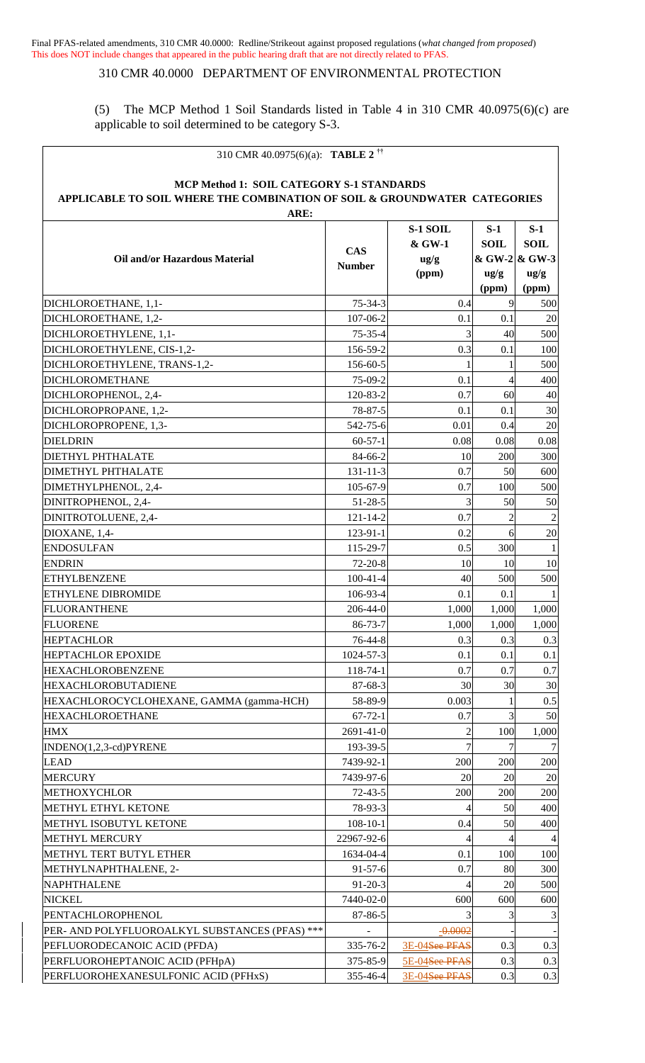## 310 CMR 40.0000 DEPARTMENT OF ENVIRONMENTAL PROTECTION

(5) The MCP Method 1 Soil Standards listed in Table 4 in 310 CMR 40.0975(6)(c) are applicable to soil determined to be category S-3.

| MCP Method 1: SOIL CATEGORY S-1 STANDARDS<br>APPLICABLE TO SOIL WHERE THE COMBINATION OF SOIL & GROUNDWATER CATEGORIES<br>ARE:<br>S-1 SOIL<br>$S-1$<br>$S-1$<br><b>SOIL</b><br>& GW-1<br><b>SOIL</b><br><b>CAS</b><br>& GW-2 & GW-3<br><b>Oil and/or Hazardous Material</b><br>$\frac{u g}{g}$<br><b>Number</b><br>(ppm)<br>$\frac{ug}{g}$<br>$\frac{u g}{g}$<br>(ppm)<br>(ppm)<br>9<br>0.4<br>$75 - 34 - 3$<br>500<br>20<br>DICHLOROETHANE, 1,2-<br>107-06-2<br>0.1<br>0.1<br>3<br>40<br>500<br>DICHLOROETHYLENE, 1,1-<br>$75 - 35 - 4$<br>DICHLOROETHYLENE, CIS-1,2-<br>156-59-2<br>0.3<br>100<br>0.1<br>DICHLOROETHYLENE, TRANS-1,2-<br>156-60-5<br>500<br>1<br><b>DICHLOROMETHANE</b><br>75-09-2<br>0.1<br>$\overline{4}$<br>400<br>60<br>40<br>0.7<br>DICHLOROPHENOL, 2,4-<br>120-83-2<br>30<br>DICHLOROPROPANE, 1,2-<br>78-87-5<br>0.1<br>0.1<br>20<br>0.4<br>DICHLOROPROPENE, 1,3-<br>542-75-6<br>0.01<br>0.08<br>0.08<br><b>DIELDRIN</b><br>$60-57-1$<br>0.08<br>84-66-2<br>10<br>200<br>300<br>0.7<br><b>DIMETHYL PHTHALATE</b><br>$131 - 11 - 3$<br>50<br>600<br>DIMETHYLPHENOL, 2,4-<br>105-67-9<br>0.7<br>500<br>100<br>3<br>50<br>$51 - 28 - 5$<br>50<br>DINITROPHENOL, 2,4-<br>0.7<br>$\overline{c}$<br>DINITROTOLUENE, 2,4-<br>$121 - 14 - 2$<br>0.2<br>20<br>123-91-1<br>6<br>DIOXANE, 1,4-<br>0.5<br><b>ENDOSULFAN</b><br>115-29-7<br>300<br>10<br><b>ENDRIN</b><br>$72 - 20 - 8$<br>10<br>10<br>40<br><b>ETHYLBENZENE</b><br>$100-41-4$<br>500<br>500<br><b>ETHYLENE DIBROMIDE</b><br>106-93-4<br>0.1<br>0.1<br>FLUORANTHENE<br>206-44-0<br>1,000<br>1,000<br>1,000<br>1,000<br>FLUORENE<br>86-73-7<br>1,000<br>1,000<br>76-44-8<br>0.3<br>0.3<br><b>HEPTACHLOR</b><br>0.3<br>0.1<br><b>HEPTACHLOR EPOXIDE</b><br>1024-57-3<br>0.1<br>0.1<br><b>HEXACHLOROBENZENE</b><br>118-74-1<br>0.7<br>0.7<br>0.7<br>30<br>30<br>30<br><b>HEXACHLOROBUTADIENE</b><br>87-68-3<br>HEXACHLOROCYCLOHEXANE, GAMMA (gamma-HCH)<br>0.003<br>0.5<br>58-89-9<br><b>HEXACHLOROETHANE</b><br>3<br>50<br>0.7<br>$67 - 72 - 1$<br><b>HMX</b><br>2691-41-0<br>100<br>1,000<br>2<br>$\overline{7}$<br>INDENO(1,2,3-cd)PYRENE<br>193-39-5<br><b>LEAD</b><br>7439-92-1<br>200<br>200<br>200<br><b>MERCURY</b><br>7439-97-6<br>20<br>20<br>20<br>200<br><b>METHOXYCHLOR</b><br>$72 - 43 - 5$<br>200<br>200<br>METHYL ETHYL KETONE<br>400<br>78-93-3<br>50<br>50<br>METHYL ISOBUTYL KETONE<br>$108 - 10 - 1$<br>400<br>0.4<br><b>METHYL MERCURY</b><br>22967-92-6<br>METHYL TERT BUTYL ETHER<br>1634-04-4<br>0.1<br>100<br>100<br>80<br>METHYLNAPHTHALENE, 2-<br>$91 - 57 - 6$<br>0.7<br>300<br><b>NAPHTHALENE</b><br>20<br>500<br>$91 - 20 - 3$<br><b>NICKEL</b><br>7440-02-0<br>600<br>600<br>600<br>PENTACHLOROPHENOL<br>87-86-5<br>3<br>3<br>PER- AND POLYFLUOROALKYL SUBSTANCES (PFAS) ***<br>$-0.0002$<br>3E-04See PFAS<br>PEFLUORODECANOIC ACID (PFDA)<br>0.3<br>0.3<br>335-76-2<br>PERFLUOROHEPTANOIC ACID (PFHpA)<br>5E-04See PFAS<br>0.3<br>0.3<br>375-85-9<br>0.3<br>PERFLUOROHEXANESULFONIC ACID (PFHxS)<br>355-46-4<br>3E-04See PFAS<br>0.3 | 310 CMR 40.0975(6)(a): <b>TABLE 2</b> <sup>††</sup> |  |  |  |  |  |  |
|----------------------------------------------------------------------------------------------------------------------------------------------------------------------------------------------------------------------------------------------------------------------------------------------------------------------------------------------------------------------------------------------------------------------------------------------------------------------------------------------------------------------------------------------------------------------------------------------------------------------------------------------------------------------------------------------------------------------------------------------------------------------------------------------------------------------------------------------------------------------------------------------------------------------------------------------------------------------------------------------------------------------------------------------------------------------------------------------------------------------------------------------------------------------------------------------------------------------------------------------------------------------------------------------------------------------------------------------------------------------------------------------------------------------------------------------------------------------------------------------------------------------------------------------------------------------------------------------------------------------------------------------------------------------------------------------------------------------------------------------------------------------------------------------------------------------------------------------------------------------------------------------------------------------------------------------------------------------------------------------------------------------------------------------------------------------------------------------------------------------------------------------------------------------------------------------------------------------------------------------------------------------------------------------------------------------------------------------------------------------------------------------------------------------------------------------------------------------------------------------------------------------------------------------------------------------------------------------------------------------------------------------------------------------------------------------------------------------------------------------------------------------------------------------------------------------------------------------------------------------------------------------------------------------------------------------------------------------------------------------------------------------------------------------|-----------------------------------------------------|--|--|--|--|--|--|
|                                                                                                                                                                                                                                                                                                                                                                                                                                                                                                                                                                                                                                                                                                                                                                                                                                                                                                                                                                                                                                                                                                                                                                                                                                                                                                                                                                                                                                                                                                                                                                                                                                                                                                                                                                                                                                                                                                                                                                                                                                                                                                                                                                                                                                                                                                                                                                                                                                                                                                                                                                                                                                                                                                                                                                                                                                                                                                                                                                                                                                              |                                                     |  |  |  |  |  |  |
|                                                                                                                                                                                                                                                                                                                                                                                                                                                                                                                                                                                                                                                                                                                                                                                                                                                                                                                                                                                                                                                                                                                                                                                                                                                                                                                                                                                                                                                                                                                                                                                                                                                                                                                                                                                                                                                                                                                                                                                                                                                                                                                                                                                                                                                                                                                                                                                                                                                                                                                                                                                                                                                                                                                                                                                                                                                                                                                                                                                                                                              |                                                     |  |  |  |  |  |  |
|                                                                                                                                                                                                                                                                                                                                                                                                                                                                                                                                                                                                                                                                                                                                                                                                                                                                                                                                                                                                                                                                                                                                                                                                                                                                                                                                                                                                                                                                                                                                                                                                                                                                                                                                                                                                                                                                                                                                                                                                                                                                                                                                                                                                                                                                                                                                                                                                                                                                                                                                                                                                                                                                                                                                                                                                                                                                                                                                                                                                                                              |                                                     |  |  |  |  |  |  |
|                                                                                                                                                                                                                                                                                                                                                                                                                                                                                                                                                                                                                                                                                                                                                                                                                                                                                                                                                                                                                                                                                                                                                                                                                                                                                                                                                                                                                                                                                                                                                                                                                                                                                                                                                                                                                                                                                                                                                                                                                                                                                                                                                                                                                                                                                                                                                                                                                                                                                                                                                                                                                                                                                                                                                                                                                                                                                                                                                                                                                                              | DICHLOROETHANE, 1,1-                                |  |  |  |  |  |  |
|                                                                                                                                                                                                                                                                                                                                                                                                                                                                                                                                                                                                                                                                                                                                                                                                                                                                                                                                                                                                                                                                                                                                                                                                                                                                                                                                                                                                                                                                                                                                                                                                                                                                                                                                                                                                                                                                                                                                                                                                                                                                                                                                                                                                                                                                                                                                                                                                                                                                                                                                                                                                                                                                                                                                                                                                                                                                                                                                                                                                                                              |                                                     |  |  |  |  |  |  |
|                                                                                                                                                                                                                                                                                                                                                                                                                                                                                                                                                                                                                                                                                                                                                                                                                                                                                                                                                                                                                                                                                                                                                                                                                                                                                                                                                                                                                                                                                                                                                                                                                                                                                                                                                                                                                                                                                                                                                                                                                                                                                                                                                                                                                                                                                                                                                                                                                                                                                                                                                                                                                                                                                                                                                                                                                                                                                                                                                                                                                                              |                                                     |  |  |  |  |  |  |
|                                                                                                                                                                                                                                                                                                                                                                                                                                                                                                                                                                                                                                                                                                                                                                                                                                                                                                                                                                                                                                                                                                                                                                                                                                                                                                                                                                                                                                                                                                                                                                                                                                                                                                                                                                                                                                                                                                                                                                                                                                                                                                                                                                                                                                                                                                                                                                                                                                                                                                                                                                                                                                                                                                                                                                                                                                                                                                                                                                                                                                              |                                                     |  |  |  |  |  |  |
|                                                                                                                                                                                                                                                                                                                                                                                                                                                                                                                                                                                                                                                                                                                                                                                                                                                                                                                                                                                                                                                                                                                                                                                                                                                                                                                                                                                                                                                                                                                                                                                                                                                                                                                                                                                                                                                                                                                                                                                                                                                                                                                                                                                                                                                                                                                                                                                                                                                                                                                                                                                                                                                                                                                                                                                                                                                                                                                                                                                                                                              |                                                     |  |  |  |  |  |  |
|                                                                                                                                                                                                                                                                                                                                                                                                                                                                                                                                                                                                                                                                                                                                                                                                                                                                                                                                                                                                                                                                                                                                                                                                                                                                                                                                                                                                                                                                                                                                                                                                                                                                                                                                                                                                                                                                                                                                                                                                                                                                                                                                                                                                                                                                                                                                                                                                                                                                                                                                                                                                                                                                                                                                                                                                                                                                                                                                                                                                                                              |                                                     |  |  |  |  |  |  |
|                                                                                                                                                                                                                                                                                                                                                                                                                                                                                                                                                                                                                                                                                                                                                                                                                                                                                                                                                                                                                                                                                                                                                                                                                                                                                                                                                                                                                                                                                                                                                                                                                                                                                                                                                                                                                                                                                                                                                                                                                                                                                                                                                                                                                                                                                                                                                                                                                                                                                                                                                                                                                                                                                                                                                                                                                                                                                                                                                                                                                                              |                                                     |  |  |  |  |  |  |
|                                                                                                                                                                                                                                                                                                                                                                                                                                                                                                                                                                                                                                                                                                                                                                                                                                                                                                                                                                                                                                                                                                                                                                                                                                                                                                                                                                                                                                                                                                                                                                                                                                                                                                                                                                                                                                                                                                                                                                                                                                                                                                                                                                                                                                                                                                                                                                                                                                                                                                                                                                                                                                                                                                                                                                                                                                                                                                                                                                                                                                              |                                                     |  |  |  |  |  |  |
|                                                                                                                                                                                                                                                                                                                                                                                                                                                                                                                                                                                                                                                                                                                                                                                                                                                                                                                                                                                                                                                                                                                                                                                                                                                                                                                                                                                                                                                                                                                                                                                                                                                                                                                                                                                                                                                                                                                                                                                                                                                                                                                                                                                                                                                                                                                                                                                                                                                                                                                                                                                                                                                                                                                                                                                                                                                                                                                                                                                                                                              |                                                     |  |  |  |  |  |  |
|                                                                                                                                                                                                                                                                                                                                                                                                                                                                                                                                                                                                                                                                                                                                                                                                                                                                                                                                                                                                                                                                                                                                                                                                                                                                                                                                                                                                                                                                                                                                                                                                                                                                                                                                                                                                                                                                                                                                                                                                                                                                                                                                                                                                                                                                                                                                                                                                                                                                                                                                                                                                                                                                                                                                                                                                                                                                                                                                                                                                                                              |                                                     |  |  |  |  |  |  |
|                                                                                                                                                                                                                                                                                                                                                                                                                                                                                                                                                                                                                                                                                                                                                                                                                                                                                                                                                                                                                                                                                                                                                                                                                                                                                                                                                                                                                                                                                                                                                                                                                                                                                                                                                                                                                                                                                                                                                                                                                                                                                                                                                                                                                                                                                                                                                                                                                                                                                                                                                                                                                                                                                                                                                                                                                                                                                                                                                                                                                                              | <b>DIETHYL PHTHALATE</b>                            |  |  |  |  |  |  |
|                                                                                                                                                                                                                                                                                                                                                                                                                                                                                                                                                                                                                                                                                                                                                                                                                                                                                                                                                                                                                                                                                                                                                                                                                                                                                                                                                                                                                                                                                                                                                                                                                                                                                                                                                                                                                                                                                                                                                                                                                                                                                                                                                                                                                                                                                                                                                                                                                                                                                                                                                                                                                                                                                                                                                                                                                                                                                                                                                                                                                                              |                                                     |  |  |  |  |  |  |
|                                                                                                                                                                                                                                                                                                                                                                                                                                                                                                                                                                                                                                                                                                                                                                                                                                                                                                                                                                                                                                                                                                                                                                                                                                                                                                                                                                                                                                                                                                                                                                                                                                                                                                                                                                                                                                                                                                                                                                                                                                                                                                                                                                                                                                                                                                                                                                                                                                                                                                                                                                                                                                                                                                                                                                                                                                                                                                                                                                                                                                              |                                                     |  |  |  |  |  |  |
|                                                                                                                                                                                                                                                                                                                                                                                                                                                                                                                                                                                                                                                                                                                                                                                                                                                                                                                                                                                                                                                                                                                                                                                                                                                                                                                                                                                                                                                                                                                                                                                                                                                                                                                                                                                                                                                                                                                                                                                                                                                                                                                                                                                                                                                                                                                                                                                                                                                                                                                                                                                                                                                                                                                                                                                                                                                                                                                                                                                                                                              |                                                     |  |  |  |  |  |  |
|                                                                                                                                                                                                                                                                                                                                                                                                                                                                                                                                                                                                                                                                                                                                                                                                                                                                                                                                                                                                                                                                                                                                                                                                                                                                                                                                                                                                                                                                                                                                                                                                                                                                                                                                                                                                                                                                                                                                                                                                                                                                                                                                                                                                                                                                                                                                                                                                                                                                                                                                                                                                                                                                                                                                                                                                                                                                                                                                                                                                                                              |                                                     |  |  |  |  |  |  |
|                                                                                                                                                                                                                                                                                                                                                                                                                                                                                                                                                                                                                                                                                                                                                                                                                                                                                                                                                                                                                                                                                                                                                                                                                                                                                                                                                                                                                                                                                                                                                                                                                                                                                                                                                                                                                                                                                                                                                                                                                                                                                                                                                                                                                                                                                                                                                                                                                                                                                                                                                                                                                                                                                                                                                                                                                                                                                                                                                                                                                                              |                                                     |  |  |  |  |  |  |
|                                                                                                                                                                                                                                                                                                                                                                                                                                                                                                                                                                                                                                                                                                                                                                                                                                                                                                                                                                                                                                                                                                                                                                                                                                                                                                                                                                                                                                                                                                                                                                                                                                                                                                                                                                                                                                                                                                                                                                                                                                                                                                                                                                                                                                                                                                                                                                                                                                                                                                                                                                                                                                                                                                                                                                                                                                                                                                                                                                                                                                              |                                                     |  |  |  |  |  |  |
|                                                                                                                                                                                                                                                                                                                                                                                                                                                                                                                                                                                                                                                                                                                                                                                                                                                                                                                                                                                                                                                                                                                                                                                                                                                                                                                                                                                                                                                                                                                                                                                                                                                                                                                                                                                                                                                                                                                                                                                                                                                                                                                                                                                                                                                                                                                                                                                                                                                                                                                                                                                                                                                                                                                                                                                                                                                                                                                                                                                                                                              |                                                     |  |  |  |  |  |  |
|                                                                                                                                                                                                                                                                                                                                                                                                                                                                                                                                                                                                                                                                                                                                                                                                                                                                                                                                                                                                                                                                                                                                                                                                                                                                                                                                                                                                                                                                                                                                                                                                                                                                                                                                                                                                                                                                                                                                                                                                                                                                                                                                                                                                                                                                                                                                                                                                                                                                                                                                                                                                                                                                                                                                                                                                                                                                                                                                                                                                                                              |                                                     |  |  |  |  |  |  |
|                                                                                                                                                                                                                                                                                                                                                                                                                                                                                                                                                                                                                                                                                                                                                                                                                                                                                                                                                                                                                                                                                                                                                                                                                                                                                                                                                                                                                                                                                                                                                                                                                                                                                                                                                                                                                                                                                                                                                                                                                                                                                                                                                                                                                                                                                                                                                                                                                                                                                                                                                                                                                                                                                                                                                                                                                                                                                                                                                                                                                                              |                                                     |  |  |  |  |  |  |
|                                                                                                                                                                                                                                                                                                                                                                                                                                                                                                                                                                                                                                                                                                                                                                                                                                                                                                                                                                                                                                                                                                                                                                                                                                                                                                                                                                                                                                                                                                                                                                                                                                                                                                                                                                                                                                                                                                                                                                                                                                                                                                                                                                                                                                                                                                                                                                                                                                                                                                                                                                                                                                                                                                                                                                                                                                                                                                                                                                                                                                              |                                                     |  |  |  |  |  |  |
|                                                                                                                                                                                                                                                                                                                                                                                                                                                                                                                                                                                                                                                                                                                                                                                                                                                                                                                                                                                                                                                                                                                                                                                                                                                                                                                                                                                                                                                                                                                                                                                                                                                                                                                                                                                                                                                                                                                                                                                                                                                                                                                                                                                                                                                                                                                                                                                                                                                                                                                                                                                                                                                                                                                                                                                                                                                                                                                                                                                                                                              |                                                     |  |  |  |  |  |  |
|                                                                                                                                                                                                                                                                                                                                                                                                                                                                                                                                                                                                                                                                                                                                                                                                                                                                                                                                                                                                                                                                                                                                                                                                                                                                                                                                                                                                                                                                                                                                                                                                                                                                                                                                                                                                                                                                                                                                                                                                                                                                                                                                                                                                                                                                                                                                                                                                                                                                                                                                                                                                                                                                                                                                                                                                                                                                                                                                                                                                                                              |                                                     |  |  |  |  |  |  |
|                                                                                                                                                                                                                                                                                                                                                                                                                                                                                                                                                                                                                                                                                                                                                                                                                                                                                                                                                                                                                                                                                                                                                                                                                                                                                                                                                                                                                                                                                                                                                                                                                                                                                                                                                                                                                                                                                                                                                                                                                                                                                                                                                                                                                                                                                                                                                                                                                                                                                                                                                                                                                                                                                                                                                                                                                                                                                                                                                                                                                                              |                                                     |  |  |  |  |  |  |
|                                                                                                                                                                                                                                                                                                                                                                                                                                                                                                                                                                                                                                                                                                                                                                                                                                                                                                                                                                                                                                                                                                                                                                                                                                                                                                                                                                                                                                                                                                                                                                                                                                                                                                                                                                                                                                                                                                                                                                                                                                                                                                                                                                                                                                                                                                                                                                                                                                                                                                                                                                                                                                                                                                                                                                                                                                                                                                                                                                                                                                              |                                                     |  |  |  |  |  |  |
|                                                                                                                                                                                                                                                                                                                                                                                                                                                                                                                                                                                                                                                                                                                                                                                                                                                                                                                                                                                                                                                                                                                                                                                                                                                                                                                                                                                                                                                                                                                                                                                                                                                                                                                                                                                                                                                                                                                                                                                                                                                                                                                                                                                                                                                                                                                                                                                                                                                                                                                                                                                                                                                                                                                                                                                                                                                                                                                                                                                                                                              |                                                     |  |  |  |  |  |  |
|                                                                                                                                                                                                                                                                                                                                                                                                                                                                                                                                                                                                                                                                                                                                                                                                                                                                                                                                                                                                                                                                                                                                                                                                                                                                                                                                                                                                                                                                                                                                                                                                                                                                                                                                                                                                                                                                                                                                                                                                                                                                                                                                                                                                                                                                                                                                                                                                                                                                                                                                                                                                                                                                                                                                                                                                                                                                                                                                                                                                                                              |                                                     |  |  |  |  |  |  |
|                                                                                                                                                                                                                                                                                                                                                                                                                                                                                                                                                                                                                                                                                                                                                                                                                                                                                                                                                                                                                                                                                                                                                                                                                                                                                                                                                                                                                                                                                                                                                                                                                                                                                                                                                                                                                                                                                                                                                                                                                                                                                                                                                                                                                                                                                                                                                                                                                                                                                                                                                                                                                                                                                                                                                                                                                                                                                                                                                                                                                                              |                                                     |  |  |  |  |  |  |
|                                                                                                                                                                                                                                                                                                                                                                                                                                                                                                                                                                                                                                                                                                                                                                                                                                                                                                                                                                                                                                                                                                                                                                                                                                                                                                                                                                                                                                                                                                                                                                                                                                                                                                                                                                                                                                                                                                                                                                                                                                                                                                                                                                                                                                                                                                                                                                                                                                                                                                                                                                                                                                                                                                                                                                                                                                                                                                                                                                                                                                              |                                                     |  |  |  |  |  |  |
|                                                                                                                                                                                                                                                                                                                                                                                                                                                                                                                                                                                                                                                                                                                                                                                                                                                                                                                                                                                                                                                                                                                                                                                                                                                                                                                                                                                                                                                                                                                                                                                                                                                                                                                                                                                                                                                                                                                                                                                                                                                                                                                                                                                                                                                                                                                                                                                                                                                                                                                                                                                                                                                                                                                                                                                                                                                                                                                                                                                                                                              |                                                     |  |  |  |  |  |  |
|                                                                                                                                                                                                                                                                                                                                                                                                                                                                                                                                                                                                                                                                                                                                                                                                                                                                                                                                                                                                                                                                                                                                                                                                                                                                                                                                                                                                                                                                                                                                                                                                                                                                                                                                                                                                                                                                                                                                                                                                                                                                                                                                                                                                                                                                                                                                                                                                                                                                                                                                                                                                                                                                                                                                                                                                                                                                                                                                                                                                                                              |                                                     |  |  |  |  |  |  |
|                                                                                                                                                                                                                                                                                                                                                                                                                                                                                                                                                                                                                                                                                                                                                                                                                                                                                                                                                                                                                                                                                                                                                                                                                                                                                                                                                                                                                                                                                                                                                                                                                                                                                                                                                                                                                                                                                                                                                                                                                                                                                                                                                                                                                                                                                                                                                                                                                                                                                                                                                                                                                                                                                                                                                                                                                                                                                                                                                                                                                                              |                                                     |  |  |  |  |  |  |
|                                                                                                                                                                                                                                                                                                                                                                                                                                                                                                                                                                                                                                                                                                                                                                                                                                                                                                                                                                                                                                                                                                                                                                                                                                                                                                                                                                                                                                                                                                                                                                                                                                                                                                                                                                                                                                                                                                                                                                                                                                                                                                                                                                                                                                                                                                                                                                                                                                                                                                                                                                                                                                                                                                                                                                                                                                                                                                                                                                                                                                              |                                                     |  |  |  |  |  |  |
|                                                                                                                                                                                                                                                                                                                                                                                                                                                                                                                                                                                                                                                                                                                                                                                                                                                                                                                                                                                                                                                                                                                                                                                                                                                                                                                                                                                                                                                                                                                                                                                                                                                                                                                                                                                                                                                                                                                                                                                                                                                                                                                                                                                                                                                                                                                                                                                                                                                                                                                                                                                                                                                                                                                                                                                                                                                                                                                                                                                                                                              |                                                     |  |  |  |  |  |  |
|                                                                                                                                                                                                                                                                                                                                                                                                                                                                                                                                                                                                                                                                                                                                                                                                                                                                                                                                                                                                                                                                                                                                                                                                                                                                                                                                                                                                                                                                                                                                                                                                                                                                                                                                                                                                                                                                                                                                                                                                                                                                                                                                                                                                                                                                                                                                                                                                                                                                                                                                                                                                                                                                                                                                                                                                                                                                                                                                                                                                                                              |                                                     |  |  |  |  |  |  |
|                                                                                                                                                                                                                                                                                                                                                                                                                                                                                                                                                                                                                                                                                                                                                                                                                                                                                                                                                                                                                                                                                                                                                                                                                                                                                                                                                                                                                                                                                                                                                                                                                                                                                                                                                                                                                                                                                                                                                                                                                                                                                                                                                                                                                                                                                                                                                                                                                                                                                                                                                                                                                                                                                                                                                                                                                                                                                                                                                                                                                                              |                                                     |  |  |  |  |  |  |
|                                                                                                                                                                                                                                                                                                                                                                                                                                                                                                                                                                                                                                                                                                                                                                                                                                                                                                                                                                                                                                                                                                                                                                                                                                                                                                                                                                                                                                                                                                                                                                                                                                                                                                                                                                                                                                                                                                                                                                                                                                                                                                                                                                                                                                                                                                                                                                                                                                                                                                                                                                                                                                                                                                                                                                                                                                                                                                                                                                                                                                              |                                                     |  |  |  |  |  |  |
|                                                                                                                                                                                                                                                                                                                                                                                                                                                                                                                                                                                                                                                                                                                                                                                                                                                                                                                                                                                                                                                                                                                                                                                                                                                                                                                                                                                                                                                                                                                                                                                                                                                                                                                                                                                                                                                                                                                                                                                                                                                                                                                                                                                                                                                                                                                                                                                                                                                                                                                                                                                                                                                                                                                                                                                                                                                                                                                                                                                                                                              |                                                     |  |  |  |  |  |  |
|                                                                                                                                                                                                                                                                                                                                                                                                                                                                                                                                                                                                                                                                                                                                                                                                                                                                                                                                                                                                                                                                                                                                                                                                                                                                                                                                                                                                                                                                                                                                                                                                                                                                                                                                                                                                                                                                                                                                                                                                                                                                                                                                                                                                                                                                                                                                                                                                                                                                                                                                                                                                                                                                                                                                                                                                                                                                                                                                                                                                                                              |                                                     |  |  |  |  |  |  |
|                                                                                                                                                                                                                                                                                                                                                                                                                                                                                                                                                                                                                                                                                                                                                                                                                                                                                                                                                                                                                                                                                                                                                                                                                                                                                                                                                                                                                                                                                                                                                                                                                                                                                                                                                                                                                                                                                                                                                                                                                                                                                                                                                                                                                                                                                                                                                                                                                                                                                                                                                                                                                                                                                                                                                                                                                                                                                                                                                                                                                                              |                                                     |  |  |  |  |  |  |
|                                                                                                                                                                                                                                                                                                                                                                                                                                                                                                                                                                                                                                                                                                                                                                                                                                                                                                                                                                                                                                                                                                                                                                                                                                                                                                                                                                                                                                                                                                                                                                                                                                                                                                                                                                                                                                                                                                                                                                                                                                                                                                                                                                                                                                                                                                                                                                                                                                                                                                                                                                                                                                                                                                                                                                                                                                                                                                                                                                                                                                              |                                                     |  |  |  |  |  |  |
|                                                                                                                                                                                                                                                                                                                                                                                                                                                                                                                                                                                                                                                                                                                                                                                                                                                                                                                                                                                                                                                                                                                                                                                                                                                                                                                                                                                                                                                                                                                                                                                                                                                                                                                                                                                                                                                                                                                                                                                                                                                                                                                                                                                                                                                                                                                                                                                                                                                                                                                                                                                                                                                                                                                                                                                                                                                                                                                                                                                                                                              |                                                     |  |  |  |  |  |  |
|                                                                                                                                                                                                                                                                                                                                                                                                                                                                                                                                                                                                                                                                                                                                                                                                                                                                                                                                                                                                                                                                                                                                                                                                                                                                                                                                                                                                                                                                                                                                                                                                                                                                                                                                                                                                                                                                                                                                                                                                                                                                                                                                                                                                                                                                                                                                                                                                                                                                                                                                                                                                                                                                                                                                                                                                                                                                                                                                                                                                                                              |                                                     |  |  |  |  |  |  |
|                                                                                                                                                                                                                                                                                                                                                                                                                                                                                                                                                                                                                                                                                                                                                                                                                                                                                                                                                                                                                                                                                                                                                                                                                                                                                                                                                                                                                                                                                                                                                                                                                                                                                                                                                                                                                                                                                                                                                                                                                                                                                                                                                                                                                                                                                                                                                                                                                                                                                                                                                                                                                                                                                                                                                                                                                                                                                                                                                                                                                                              |                                                     |  |  |  |  |  |  |
|                                                                                                                                                                                                                                                                                                                                                                                                                                                                                                                                                                                                                                                                                                                                                                                                                                                                                                                                                                                                                                                                                                                                                                                                                                                                                                                                                                                                                                                                                                                                                                                                                                                                                                                                                                                                                                                                                                                                                                                                                                                                                                                                                                                                                                                                                                                                                                                                                                                                                                                                                                                                                                                                                                                                                                                                                                                                                                                                                                                                                                              |                                                     |  |  |  |  |  |  |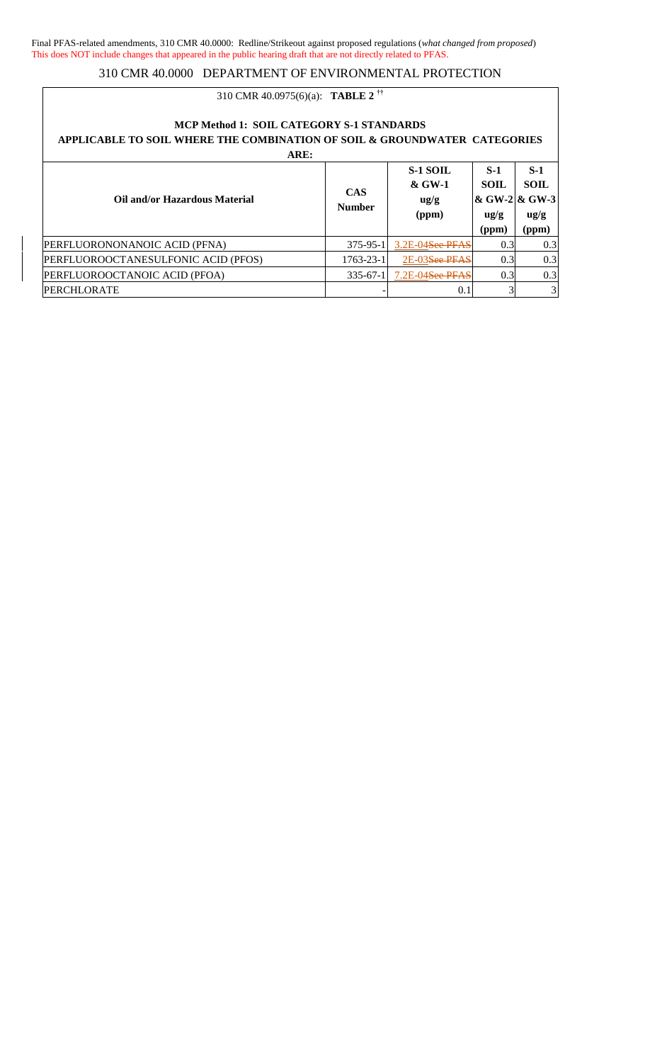## 310 CMR 40.0975(6)(a): **TABLE 2 ††**

#### **MCP Method 1: SOIL CATEGORY S-1 STANDARDS APPLICABLE TO SOIL WHERE THE COMBINATION OF SOIL & GROUNDWATER CATEGORIES ARE: Oil and/or Hazardous Material CAS Number S-1 SOIL & GW-1 ug/g (ppm) S-1 SOIL & GW-2 & GW-3 ug/g (ppm) S-1 SOIL ug/g (ppm)**

|                                     |            |                                      | (hhm) | (ррш) |
|-------------------------------------|------------|--------------------------------------|-------|-------|
| PERFLUORONONANOIC ACID (PFNA)       |            | 375-95-1 3.2E-04 <del>See PFAS</del> |       | 0.31  |
| PERFLUOROOCTANESULFONIC ACID (PFOS) | 1763-23-11 | 2E-03 <del>See PFAS</del>            |       | 0.3   |
| PERFLUOROOCTANOIC ACID (PFOA)       |            | 335-67-1 7.2E-04 <del>See PFAS</del> |       | 0.3   |
| PERCHLORATE                         |            |                                      |       |       |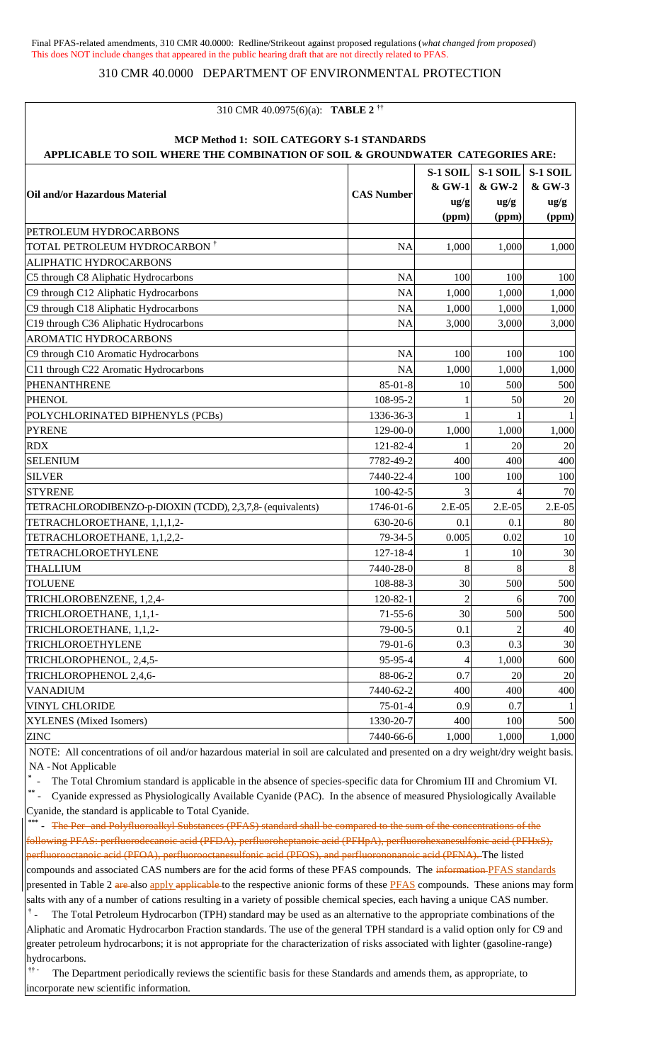## 310 CMR 40.0000 DEPARTMENT OF ENVIRONMENTAL PROTECTION

| 310 CMR 40.0975(6)(a): <b>TABLE 2</b> <sup>††</sup>                                                                         |                   |                                                |                                                |                                               |
|-----------------------------------------------------------------------------------------------------------------------------|-------------------|------------------------------------------------|------------------------------------------------|-----------------------------------------------|
| MCP Method 1: SOIL CATEGORY S-1 STANDARDS<br>APPLICABLE TO SOIL WHERE THE COMBINATION OF SOIL & GROUNDWATER CATEGORIES ARE: |                   |                                                |                                                |                                               |
| Oil and/or Hazardous Material                                                                                               | <b>CAS Number</b> | S-1 SOIL<br>& GW-1<br>$\frac{u g}{g}$<br>(ppm) | S-1 SOIL<br>& GW-2<br>$\frac{u g}{g}$<br>(ppm) | S-1 SOIL<br>& GW-3<br>$\frac{ug}{g}$<br>(ppm) |
| PETROLEUM HYDROCARBONS                                                                                                      |                   |                                                |                                                |                                               |
| TOTAL PETROLEUM HYDROCARBON <sup>†</sup>                                                                                    | <b>NA</b>         | 1,000                                          | 1,000                                          | 1,000                                         |
| ALIPHATIC HYDROCARBONS                                                                                                      |                   |                                                |                                                |                                               |
| C5 through C8 Aliphatic Hydrocarbons                                                                                        | <b>NA</b>         | 100                                            | 100                                            | 100                                           |
| C9 through C12 Aliphatic Hydrocarbons                                                                                       | <b>NA</b>         | 1,000                                          | 1,000                                          | 1,000                                         |
| C9 through C18 Aliphatic Hydrocarbons                                                                                       | <b>NA</b>         | 1,000                                          | 1,000                                          | 1,000                                         |
| C19 through C36 Aliphatic Hydrocarbons                                                                                      | <b>NA</b>         | 3,000                                          | 3,000                                          | 3,000                                         |
| AROMATIC HYDROCARBONS                                                                                                       |                   |                                                |                                                |                                               |
| C9 through C10 Aromatic Hydrocarbons                                                                                        | <b>NA</b>         | 100                                            | 100                                            | 100                                           |
| C11 through C22 Aromatic Hydrocarbons                                                                                       | <b>NA</b>         | 1,000                                          | 1,000                                          | 1,000                                         |
| <b>PHENANTHRENE</b>                                                                                                         | $85 - 01 - 8$     | 10                                             | 500                                            | 500                                           |
| <b>PHENOL</b>                                                                                                               | 108-95-2          | 1                                              | 50                                             | 20                                            |
| POLYCHLORINATED BIPHENYLS (PCBs)                                                                                            | 1336-36-3         |                                                |                                                |                                               |
| <b>PYRENE</b>                                                                                                               | 129-00-0          | 1,000                                          | 1,000                                          | 1,000                                         |
| <b>RDX</b>                                                                                                                  | 121-82-4          | 1                                              | 20                                             | 20                                            |
| <b>SELENIUM</b>                                                                                                             | 7782-49-2         | 400                                            | 400                                            | 400                                           |
| <b>SILVER</b>                                                                                                               | 7440-22-4         | 100                                            | 100                                            | 100                                           |
| <b>STYRENE</b>                                                                                                              | $100-42-5$        |                                                |                                                | 70                                            |
| TETRACHLORODIBENZO-p-DIOXIN (TCDD), 2,3,7,8- (equivalents)                                                                  | 1746-01-6         | $2.E-05$                                       | $2.E-05$                                       | $2.E-05$                                      |
| TETRACHLOROETHANE, 1,1,1,2-                                                                                                 | 630-20-6          | 0.1                                            | 0.1                                            | 80                                            |
| TETRACHLOROETHANE, 1,1,2,2-                                                                                                 | 79-34-5           | 0.005                                          | 0.02                                           | 10                                            |
| TETRACHLOROETHYLENE                                                                                                         | $127 - 18 - 4$    |                                                | 10                                             | 30                                            |
| <b>THALLIUM</b>                                                                                                             | 7440-28-0         | 8                                              | 8                                              | 8                                             |
| <b>TOLUENE</b>                                                                                                              | 108-88-3          | 30                                             | 500                                            | 500                                           |
| TRICHLOROBENZENE, 1,2,4-                                                                                                    | $120 - 82 - 1$    |                                                | 6                                              | 700                                           |
| TRICHLOROETHANE, 1,1,1-                                                                                                     | $71 - 55 - 6$     | 30                                             | 500                                            | 500                                           |
| TRICHLOROETHANE, 1,1,2-                                                                                                     | 79-00-5           | 0.1                                            |                                                | 40                                            |
| TRICHLOROETHYLENE                                                                                                           | $79-01-6$         | 0.3                                            | 0.3                                            | 30                                            |
| TRICHLOROPHENOL, 2,4,5-                                                                                                     | 95-95-4           | 4                                              | 1,000                                          | 600                                           |
| TRICHLOROPHENOL 2,4,6-                                                                                                      | 88-06-2           | 0.7                                            | 20                                             | 20                                            |
| <b>VANADIUM</b>                                                                                                             | 7440-62-2         | 400                                            | 400                                            | 400                                           |
| <b>VINYL CHLORIDE</b>                                                                                                       | $75-01-4$         | 0.9                                            | 0.7                                            |                                               |
| XYLENES (Mixed Isomers)                                                                                                     | 1330-20-7         | 400                                            | 100                                            | 500                                           |
| <b>ZINC</b>                                                                                                                 | 7440-66-6         | 1,000                                          | 1,000                                          | 1,000                                         |

NOTE: All concentrations of oil and/or hazardous material in soil are calculated and presented on a dry weight/dry weight basis. NA -Not Applicable

**\*** - The Total Chromium standard is applicable in the absence of species-specific data for Chromium III and Chromium VI.

**\*\*** - Cyanide expressed as Physiologically Available Cyanide (PAC). In the absence of measured Physiologically Available Cyanide, the standard is applicable to Total Cyanide.

\*\*\* **The Per-and Polyfluoroalkyl Substances (PFAS) standard shall be compared to the sum of the concentrations of the** following PFAS: perfluorodecanoic acid (PFDA), perfluoroheptanoic acid (PFHpA), perfluorohexanesulfonic acid (PFHxS), perfluorooctanoic acid (PFOA), perfluorooctanesulfonic acid (PFOS), and perfluorononanoic acid (PFNA). The listed

compounds and associated CAS numbers are for the acid forms of these PFAS compounds. The information PFAS standards presented in Table 2 are also apply applicable to the respective anionic forms of these PFAS compounds. These anions may form salts with any of a number of cations resulting in a variety of possible chemical species, each having a unique CAS number.

<sup>†</sup> - The Total Petroleum Hydrocarbon (TPH) standard may be used as an alternative to the appropriate combinations of the Aliphatic and Aromatic Hydrocarbon Fraction standards. The use of the general TPH standard is a valid option only for C9 and greater petroleum hydrocarbons; it is not appropriate for the characterization of risks associated with lighter (gasoline-range) hydrocarbons.

**†† -** The Department periodically reviews the scientific basis for these Standards and amends them, as appropriate, to incorporate new scientific information.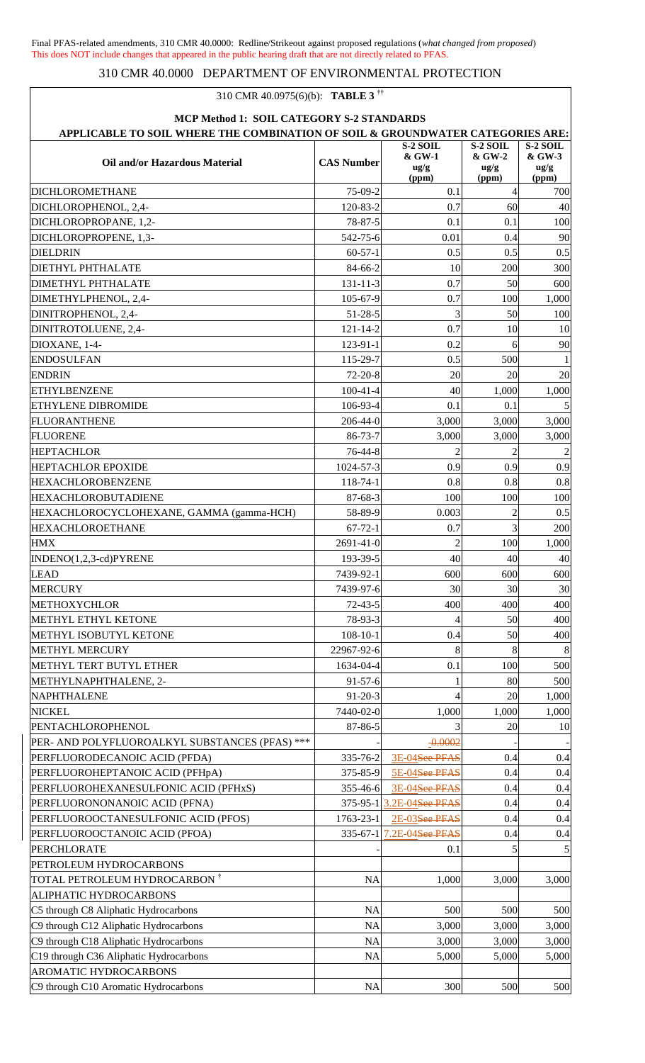## 310 CMR 40.0975(6)(b): **TABLE 3 ††**

| MCP Method 1: SOIL CATEGORY S-2 STANDARDS<br>APPLICABLE TO SOIL WHERE THE COMBINATION OF SOIL & GROUNDWATER CATEGORIES ARE: |                   |                                                  |                                                |                                                |  |
|-----------------------------------------------------------------------------------------------------------------------------|-------------------|--------------------------------------------------|------------------------------------------------|------------------------------------------------|--|
| Oil and/or Hazardous Material                                                                                               | <b>CAS Number</b> | $S-2$ SOIL<br>& GW-1<br>$\frac{u g}{g}$<br>(ppm) | S-2 SOIL<br>& GW-2<br>$\frac{u g}{g}$<br>(ppm) | S-2 SOIL<br>& GW-3<br>$\frac{u g}{g}$<br>(ppm) |  |
| <b>DICHLOROMETHANE</b>                                                                                                      | 75-09-2           | 0.1                                              | $\overline{4}$                                 | 700                                            |  |
| DICHLOROPHENOL, 2,4-                                                                                                        | 120-83-2          | 0.7                                              | 60                                             | 40                                             |  |
| DICHLOROPROPANE, 1,2-                                                                                                       | 78-87-5           | 0.1                                              | 0.1                                            | 100                                            |  |
| DICHLOROPROPENE, 1,3-                                                                                                       | 542-75-6          | 0.01                                             | 0.4                                            | 90                                             |  |
| <b>DIELDRIN</b>                                                                                                             | $60-57-1$         | 0.5                                              | 0.5                                            | 0.5                                            |  |
| <b>DIETHYL PHTHALATE</b>                                                                                                    | 84-66-2           | 10                                               | 200                                            | 300                                            |  |
| <b>DIMETHYL PHTHALATE</b>                                                                                                   | $131 - 11 - 3$    | 0.7                                              | 50                                             | 600                                            |  |
| DIMETHYLPHENOL, 2,4-                                                                                                        | 105-67-9          | 0.7                                              | 100                                            | 1,000                                          |  |
| DINITROPHENOL, 2,4-                                                                                                         | $51 - 28 - 5$     | 3                                                | 50                                             | 100                                            |  |
| DINITROTOLUENE, 2,4-                                                                                                        | $121 - 14 - 2$    | 0.7                                              | 10                                             | 10                                             |  |
| DIOXANE, 1-4-                                                                                                               | $123 - 91 - 1$    | 0.2                                              | 6                                              | 90                                             |  |
| <b>ENDOSULFAN</b>                                                                                                           | 115-29-7          | 0.5                                              | 500                                            |                                                |  |
| <b>ENDRIN</b>                                                                                                               | $72 - 20 - 8$     | 20                                               | 20                                             | 20                                             |  |
| <b>ETHYLBENZENE</b>                                                                                                         | $100 - 41 - 4$    | 40                                               | 1,000                                          | 1,000                                          |  |
| ETHYLENE DIBROMIDE                                                                                                          | 106-93-4          | 0.1                                              | 0.1                                            |                                                |  |
|                                                                                                                             | 206-44-0          |                                                  |                                                |                                                |  |
| <b>FLUORANTHENE</b>                                                                                                         |                   | 3,000                                            | 3,000                                          | 3,000                                          |  |
| <b>FLUORENE</b>                                                                                                             | 86-73-7           | 3,000                                            | 3,000                                          | 3,000                                          |  |
| <b>HEPTACHLOR</b>                                                                                                           | 76-44-8           | $\overline{c}$                                   | $\mathfrak{D}$                                 | $\overline{c}$                                 |  |
| <b>HEPTACHLOR EPOXIDE</b>                                                                                                   | 1024-57-3         | 0.9                                              | 0.9                                            | 0.9                                            |  |
| <b>HEXACHLOROBENZENE</b>                                                                                                    | 118-74-1          | 0.8                                              | 0.8                                            | 0.8                                            |  |
| <b>HEXACHLOROBUTADIENE</b>                                                                                                  | 87-68-3           | 100                                              | 100                                            | 100                                            |  |
| HEXACHLOROCYCLOHEXANE, GAMMA (gamma-HCH)                                                                                    | 58-89-9           | 0.003                                            | 2                                              | 0.5                                            |  |
| <b>HEXACHLOROETHANE</b>                                                                                                     | $67 - 72 - 1$     | 0.7                                              | 3                                              | 200                                            |  |
| <b>HMX</b>                                                                                                                  | 2691-41-0         | $\overline{2}$                                   | 100                                            | 1,000                                          |  |
| INDENO(1,2,3-cd)PYRENE                                                                                                      | 193-39-5          | 40                                               | 40                                             | 40                                             |  |
| <b>LEAD</b>                                                                                                                 | 7439-92-1         | 600                                              | 600                                            | 600                                            |  |
| <b>MERCURY</b>                                                                                                              | 7439-97-6         | 30                                               | 30                                             | 30                                             |  |
| <b>METHOXYCHLOR</b>                                                                                                         | $72 - 43 - 5$     | 400                                              | 400                                            | 400                                            |  |
| METHYL ETHYL KETONE                                                                                                         | 78-93-3           | 4                                                | 50                                             | 400                                            |  |
| METHYL ISOBUTYL KETONE                                                                                                      | $108 - 10 - 1$    | 0.4                                              | 50                                             | 400                                            |  |
| <b>METHYL MERCURY</b>                                                                                                       | 22967-92-6        | 8                                                | 8                                              | 8                                              |  |
| METHYL TERT BUTYL ETHER                                                                                                     | 1634-04-4         | 0.1                                              | 100                                            | 500                                            |  |
| METHYLNAPHTHALENE, 2-                                                                                                       | $91 - 57 - 6$     |                                                  | 80                                             | 500                                            |  |
| NAPHTHALENE                                                                                                                 | $91 - 20 - 3$     |                                                  | 20                                             | 1,000                                          |  |
| <b>NICKEL</b>                                                                                                               | 7440-02-0         | 1,000                                            | 1,000                                          | 1,000                                          |  |
| PENTACHLOROPHENOL                                                                                                           | 87-86-5           |                                                  | 20                                             | 10                                             |  |
| PER- AND POLYFLUOROALKYL SUBSTANCES (PFAS) ***                                                                              |                   | $-0.0002$                                        |                                                |                                                |  |
| PERFLUORODECANOIC ACID (PFDA)                                                                                               | 335-76-2          | 3E-04See PFAS                                    | 0.4                                            | 0.4                                            |  |
| PERFLUOROHEPTANOIC ACID (PFHpA)                                                                                             | 375-85-9          | 5E-04See PFAS                                    | 0.4                                            | 0.4                                            |  |
| PERFLUOROHEXANESULFONIC ACID (PFHxS)                                                                                        | 355-46-6          | 3E-04See PFAS                                    | 0.4                                            | 0.4                                            |  |
| PERFLUORONONANOIC ACID (PFNA)                                                                                               |                   | 375-95-1 3.2E-04See PFAS                         | 0.4                                            | 0.4                                            |  |
| PERFLUOROOCTANESULFONIC ACID (PFOS)                                                                                         | 1763-23-1         | 2E-03See PFAS                                    | 0.4                                            | 0.4                                            |  |
| PERFLUOROOCTANOIC ACID (PFOA)                                                                                               | $335 - 67 - 1$    | 7.2E-04See PFAS                                  | 0.4                                            | 0.4                                            |  |
| <b>PERCHLORATE</b>                                                                                                          |                   | 0.1                                              | 5                                              | 5                                              |  |
| PETROLEUM HYDROCARBONS                                                                                                      |                   |                                                  |                                                |                                                |  |
| TOTAL PETROLEUM HYDROCARBON <sup>†</sup>                                                                                    | <b>NA</b>         | 1,000                                            | 3,000                                          | 3,000                                          |  |
| ALIPHATIC HYDROCARBONS                                                                                                      |                   |                                                  |                                                |                                                |  |
| C5 through C8 Aliphatic Hydrocarbons                                                                                        | <b>NA</b>         | 500                                              | 500                                            | 500                                            |  |
| C9 through C12 Aliphatic Hydrocarbons                                                                                       | <b>NA</b>         | 3,000                                            | 3,000                                          | 3,000                                          |  |
| C9 through C18 Aliphatic Hydrocarbons                                                                                       | <b>NA</b>         | 3,000                                            | 3,000                                          | 3,000                                          |  |
| C19 through C36 Aliphatic Hydrocarbons                                                                                      | <b>NA</b>         | 5,000                                            | 5,000                                          | 5,000                                          |  |
| AROMATIC HYDROCARBONS                                                                                                       |                   |                                                  |                                                |                                                |  |
| C9 through C10 Aromatic Hydrocarbons                                                                                        | <b>NA</b>         | 300                                              | 500                                            | 500                                            |  |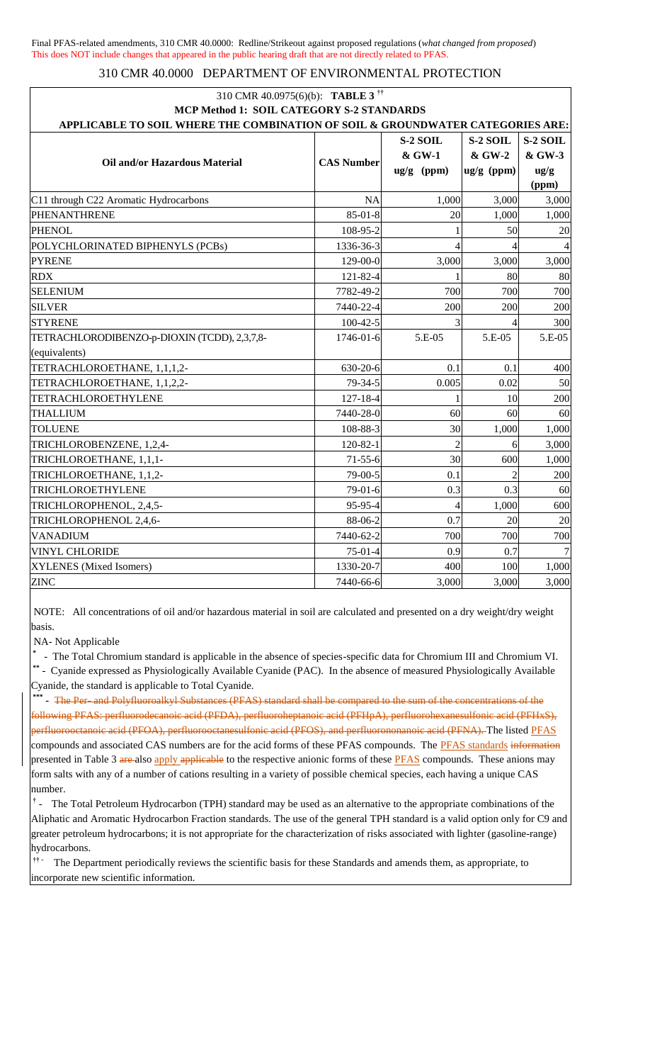| MCP Method 1: SOIL CATEGORY S-2 STANDARDS<br>APPLICABLE TO SOIL WHERE THE COMBINATION OF SOIL & GROUNDWATER CATEGORIES ARE:<br>Oil and/or Hazardous Material<br><b>CAS Number</b><br>C11 through C22 Aromatic Hydrocarbons<br>PHENANTHRENE<br>$85 - 01 - 8$<br><b>PHENOL</b><br>108-95-2<br>POLYCHLORINATED BIPHENYLS (PCBs)<br>1336-36-3<br><b>PYRENE</b><br>129-00-0<br><b>RDX</b><br>121-82-4<br><b>SELENIUM</b><br>7782-49-2<br><b>SILVER</b><br>7440-22-4<br><b>STYRENE</b><br>$100-42-5$<br>TETRACHLORODIBENZO-p-DIOXIN (TCDD), 2,3,7,8-<br>1746-01-6<br>(equivalents)<br>TETRACHLOROETHANE, 1,1,1,2-<br>630-20-6<br>TETRACHLOROETHANE, 1,1,2,2-<br>79-34-5<br>TETRACHLOROETHYLENE<br>$127 - 18 - 4$<br><b>THALLIUM</b><br>7440-28-0<br><b>TOLUENE</b><br>108-88-3 | S-2 SOIL<br>& GW-1<br>ug/g (ppm)<br><b>NA</b><br>1,000<br>20 | S-2 SOIL<br>& GW-2<br>ug/g (ppm)<br>3,000<br>1,000<br>50 | S-2 SOIL<br>& GW-3<br>$\frac{ug}{g}$<br>(ppm)<br>3,000<br>1,000 |
|--------------------------------------------------------------------------------------------------------------------------------------------------------------------------------------------------------------------------------------------------------------------------------------------------------------------------------------------------------------------------------------------------------------------------------------------------------------------------------------------------------------------------------------------------------------------------------------------------------------------------------------------------------------------------------------------------------------------------------------------------------------------------|--------------------------------------------------------------|----------------------------------------------------------|-----------------------------------------------------------------|
|                                                                                                                                                                                                                                                                                                                                                                                                                                                                                                                                                                                                                                                                                                                                                                          |                                                              |                                                          |                                                                 |
|                                                                                                                                                                                                                                                                                                                                                                                                                                                                                                                                                                                                                                                                                                                                                                          |                                                              |                                                          |                                                                 |
|                                                                                                                                                                                                                                                                                                                                                                                                                                                                                                                                                                                                                                                                                                                                                                          |                                                              |                                                          |                                                                 |
|                                                                                                                                                                                                                                                                                                                                                                                                                                                                                                                                                                                                                                                                                                                                                                          |                                                              |                                                          |                                                                 |
|                                                                                                                                                                                                                                                                                                                                                                                                                                                                                                                                                                                                                                                                                                                                                                          |                                                              |                                                          |                                                                 |
|                                                                                                                                                                                                                                                                                                                                                                                                                                                                                                                                                                                                                                                                                                                                                                          |                                                              |                                                          |                                                                 |
|                                                                                                                                                                                                                                                                                                                                                                                                                                                                                                                                                                                                                                                                                                                                                                          |                                                              |                                                          |                                                                 |
|                                                                                                                                                                                                                                                                                                                                                                                                                                                                                                                                                                                                                                                                                                                                                                          |                                                              |                                                          |                                                                 |
|                                                                                                                                                                                                                                                                                                                                                                                                                                                                                                                                                                                                                                                                                                                                                                          |                                                              |                                                          | 20                                                              |
|                                                                                                                                                                                                                                                                                                                                                                                                                                                                                                                                                                                                                                                                                                                                                                          |                                                              |                                                          |                                                                 |
|                                                                                                                                                                                                                                                                                                                                                                                                                                                                                                                                                                                                                                                                                                                                                                          | 3,000                                                        | 3,000                                                    | 3,000                                                           |
|                                                                                                                                                                                                                                                                                                                                                                                                                                                                                                                                                                                                                                                                                                                                                                          |                                                              | 80                                                       | 80                                                              |
|                                                                                                                                                                                                                                                                                                                                                                                                                                                                                                                                                                                                                                                                                                                                                                          | 700                                                          | 700                                                      | 700                                                             |
|                                                                                                                                                                                                                                                                                                                                                                                                                                                                                                                                                                                                                                                                                                                                                                          | 200                                                          | 200                                                      | 200                                                             |
|                                                                                                                                                                                                                                                                                                                                                                                                                                                                                                                                                                                                                                                                                                                                                                          | 3                                                            | 4                                                        | 300                                                             |
|                                                                                                                                                                                                                                                                                                                                                                                                                                                                                                                                                                                                                                                                                                                                                                          | 5.E-05                                                       | 5.E-05                                                   | 5.E-05                                                          |
|                                                                                                                                                                                                                                                                                                                                                                                                                                                                                                                                                                                                                                                                                                                                                                          |                                                              |                                                          |                                                                 |
|                                                                                                                                                                                                                                                                                                                                                                                                                                                                                                                                                                                                                                                                                                                                                                          | 0.1                                                          | 0.1                                                      | 400                                                             |
|                                                                                                                                                                                                                                                                                                                                                                                                                                                                                                                                                                                                                                                                                                                                                                          | 0.005                                                        | 0.02                                                     | 50                                                              |
|                                                                                                                                                                                                                                                                                                                                                                                                                                                                                                                                                                                                                                                                                                                                                                          | 1                                                            | 10                                                       | 200                                                             |
|                                                                                                                                                                                                                                                                                                                                                                                                                                                                                                                                                                                                                                                                                                                                                                          | 60                                                           | 60                                                       | 60                                                              |
|                                                                                                                                                                                                                                                                                                                                                                                                                                                                                                                                                                                                                                                                                                                                                                          | 30                                                           | 1,000                                                    | 1,000                                                           |
| TRICHLOROBENZENE, 1,2,4-<br>$120 - 82 - 1$                                                                                                                                                                                                                                                                                                                                                                                                                                                                                                                                                                                                                                                                                                                               | $\overline{2}$                                               | 6                                                        | 3,000                                                           |
| TRICHLOROETHANE, 1,1,1-<br>$71 - 55 - 6$                                                                                                                                                                                                                                                                                                                                                                                                                                                                                                                                                                                                                                                                                                                                 | 30                                                           | 600                                                      | 1,000                                                           |
| TRICHLOROETHANE, 1,1,2-<br>79-00-5                                                                                                                                                                                                                                                                                                                                                                                                                                                                                                                                                                                                                                                                                                                                       | 0.1                                                          | $\overline{c}$                                           | 200                                                             |
| TRICHLOROETHYLENE<br>79-01-6                                                                                                                                                                                                                                                                                                                                                                                                                                                                                                                                                                                                                                                                                                                                             | 0.3                                                          | 0.3                                                      | 60                                                              |
| TRICHLOROPHENOL, 2,4,5-<br>95-95-4                                                                                                                                                                                                                                                                                                                                                                                                                                                                                                                                                                                                                                                                                                                                       | $\overline{4}$                                               | 1,000                                                    | 600                                                             |
| TRICHLOROPHENOL 2,4,6-<br>88-06-2                                                                                                                                                                                                                                                                                                                                                                                                                                                                                                                                                                                                                                                                                                                                        | 0.7                                                          | 20                                                       | 20                                                              |
| <b>VANADIUM</b><br>7440-62-2                                                                                                                                                                                                                                                                                                                                                                                                                                                                                                                                                                                                                                                                                                                                             | 700                                                          | 700                                                      | 700                                                             |
| <b>VINYL CHLORIDE</b><br>$75-01-4$                                                                                                                                                                                                                                                                                                                                                                                                                                                                                                                                                                                                                                                                                                                                       | 0.9                                                          | 0.7                                                      |                                                                 |
| XYLENES (Mixed Isomers)<br>1330-20-7                                                                                                                                                                                                                                                                                                                                                                                                                                                                                                                                                                                                                                                                                                                                     | 400                                                          | 100                                                      | 1,000                                                           |
| 7440-66-6<br><b>ZINC</b>                                                                                                                                                                                                                                                                                                                                                                                                                                                                                                                                                                                                                                                                                                                                                 | 3,000                                                        | 3,000                                                    | 3,000                                                           |

NOTE: All concentrations of oil and/or hazardous material in soil are calculated and presented on a dry weight/dry weight basis.

NA- Not Applicable

**\*** - The Total Chromium standard is applicable in the absence of species-specific data for Chromium III and Chromium VI. **\*\*** - Cyanide expressed as Physiologically Available Cyanide (PAC). In the absence of measured Physiologically Available Cyanide, the standard is applicable to Total Cyanide.

\*\*\* **The Per-and Polyfluoroalkyl Substances (PFAS) standard shall be compared to the sum of the concentrations of the** following PFAS: perfluorodecanoic acid (PFDA), perfluoroheptanoic acid (PFHpA), perfluorohexanesulfonic acid (PFHxS), perfluorooctanoic acid (PFOA), perfluorooctanesulfonic acid (PFOS), and perfluorononanoic acid (PFNA). The listed PFAS compounds and associated CAS numbers are for the acid forms of these PFAS compounds. The **PFAS** standards information presented in Table 3 are also apply applicable to the respective anionic forms of these PFAS compounds. These anions may form salts with any of a number of cations resulting in a variety of possible chemical species, each having a unique CAS number.

<sup>†</sup> - The Total Petroleum Hydrocarbon (TPH) standard may be used as an alternative to the appropriate combinations of the Aliphatic and Aromatic Hydrocarbon Fraction standards. The use of the general TPH standard is a valid option only for C9 and greater petroleum hydrocarbons; it is not appropriate for the characterization of risks associated with lighter (gasoline-range) hydrocarbons.

**†† -** The Department periodically reviews the scientific basis for these Standards and amends them, as appropriate, to incorporate new scientific information.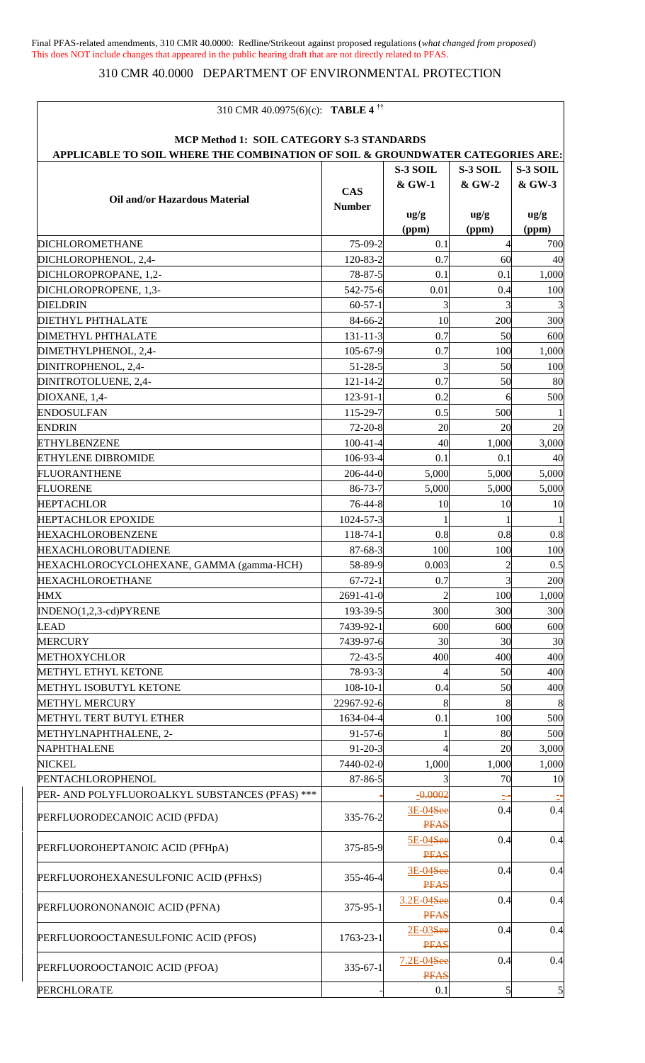$\overline{1}$ 

# 310 CMR 40.0000 DEPARTMENT OF ENVIRONMENTAL PROTECTION

| 310 CMR 40.0975(6)(c): TABLE 4 <sup><math>\dagger</math>†</sup>                |                |                                     |                 |                |
|--------------------------------------------------------------------------------|----------------|-------------------------------------|-----------------|----------------|
| MCP Method 1: SOIL CATEGORY S-3 STANDARDS                                      |                |                                     |                 |                |
| APPLICABLE TO SOIL WHERE THE COMBINATION OF SOIL & GROUNDWATER CATEGORIES ARE: |                |                                     |                 |                |
|                                                                                |                | S-3 SOIL                            | S-3 SOIL        | S-3 SOIL       |
|                                                                                | <b>CAS</b>     | & GW-1                              | & GW-2          | & GW-3         |
| Oil and/or Hazardous Material                                                  | <b>Number</b>  |                                     |                 |                |
|                                                                                |                | $\frac{ug}{g}$                      | $\frac{u g}{g}$ | $\frac{ug}{g}$ |
|                                                                                |                | (ppm)                               | (ppm)           | (ppm)          |
| <b>DICHLOROMETHANE</b>                                                         | 75-09-2        | 0.1                                 |                 | 700            |
| DICHLOROPHENOL, 2,4-                                                           | 120-83-2       | 0.7                                 | 60              | 40             |
| DICHLOROPROPANE, 1,2-                                                          | 78-87-5        | 0.1                                 | 0.1             | 1,000          |
| DICHLOROPROPENE, 1,3-                                                          | 542-75-6       | 0.01                                | 0.4             | 100            |
| <b>DIELDRIN</b>                                                                | $60 - 57 - 1$  | 3                                   |                 | 3              |
| <b>DIETHYL PHTHALATE</b>                                                       | 84-66-2        | 10                                  | 200             | 300            |
| <b>DIMETHYL PHTHALATE</b>                                                      | $131 - 11 - 3$ | 0.7                                 | 50              | 600            |
| DIMETHYLPHENOL, 2,4-                                                           | 105-67-9       | 0.7                                 | 100             | 1,000          |
| DINITROPHENOL, 2,4-                                                            | $51 - 28 - 5$  | 3                                   | 50              | 100            |
| DINITROTOLUENE, 2,4-                                                           | $121 - 14 - 2$ | 0.7                                 | 50              | 80             |
| DIOXANE, 1,4-                                                                  | 123-91-1       | 0.2                                 |                 | 500            |
| <b>ENDOSULFAN</b>                                                              | 115-29-7       | 0.5                                 | 500             |                |
| <b>ENDRIN</b>                                                                  | $72 - 20 - 8$  | 20                                  | 20              | 20             |
| <b>ETHYLBENZENE</b>                                                            | $100 - 41 - 4$ | 40                                  | 1,000           | 3,000          |
| <b>ETHYLENE DIBROMIDE</b>                                                      | 106-93-4       | 0.1                                 | 0.1             | 40             |
| <b>FLUORANTHENE</b>                                                            | $206 - 44 - 0$ | 5,000                               | 5,000           | 5,000          |
| <b>FLUORENE</b>                                                                | $86 - 73 - 7$  | 5,000                               | 5,000           | 5,000          |
| <b>HEPTACHLOR</b>                                                              | 76-44-8        | 10                                  | 10              | 10             |
| <b>HEPTACHLOR EPOXIDE</b>                                                      | 1024-57-3      |                                     |                 |                |
| <b>HEXACHLOROBENZENE</b>                                                       | 118-74-1       | 0.8                                 | 0.8             | 0.8            |
| <b>HEXACHLOROBUTADIENE</b>                                                     | $87 - 68 - 3$  | 100                                 | 100             | 100            |
| HEXACHLOROCYCLOHEXANE, GAMMA (gamma-HCH)                                       | 58-89-9        | 0.003                               |                 | 0.5            |
| HEXACHLOROETHANE                                                               | $67 - 72 - 1$  | 0.7                                 | 3               | 200            |
| <b>HMX</b>                                                                     | 2691-41-0      |                                     | 100             | 1,000          |
| INDENO(1,2,3-cd)PYRENE                                                         | 193-39-5       | 300                                 | 300             | 300            |
| <b>LEAD</b>                                                                    | 7439-92-1      | 600                                 | 600             | 600            |
| <b>MERCURY</b>                                                                 | 7439-97-6      | 30                                  | 30              | 30             |
| <b>METHOXYCHLOR</b>                                                            | $72 - 43 - 5$  | 400                                 | 400             | 400            |
| METHYL ETHYL KETONE                                                            | 78-93-3        |                                     | 50              | 400            |
| METHYL ISOBUTYL KETONE                                                         | $108 - 10 - 1$ | 0.4                                 | 50              | 400            |
| <b>METHYL MERCURY</b>                                                          | 22967-92-6     |                                     | 8               | 8              |
| METHYL TERT BUTYL ETHER                                                        | 1634-04-4      | 0.1                                 | 100             | 500            |
| METHYLNAPHTHALENE, 2-                                                          | $91 - 57 - 6$  |                                     | 80              | 500            |
| NAPHTHALENE                                                                    | $91 - 20 - 3$  |                                     | 20              | 3,000          |
| <b>NICKEL</b>                                                                  | 7440-02-0      | 1,000                               | 1,000           | 1,000          |
| PENTACHLOROPHENOL                                                              | 87-86-5        |                                     | 70              | 10             |
| PER- AND POLYFLUOROALKYL SUBSTANCES (PFAS) ***                                 |                | $-0.0002$                           |                 |                |
| PERFLUORODECANOIC ACID (PFDA)                                                  | 335-76-2       | 3E-04See<br><b>PFAS</b>             | 0.4             | 0.4            |
| PERFLUOROHEPTANOIC ACID (PFHpA)                                                | 375-85-9       | 5E-04 <del>See</del><br><b>PFAS</b> | 0.4             | 0.4            |
| PERFLUOROHEXANESULFONIC ACID (PFHxS)                                           | 355-46-4       | 3E-04See<br><b>PFAS</b>             | 0.4             | 0.4            |
| PERFLUORONONANOIC ACID (PFNA)                                                  | $375 - 95 - 1$ | 3.2E-04See<br><b>PFAS</b>           | 0.4             | 0.4            |
| PERFLUOROOCTANESULFONIC ACID (PFOS)                                            | 1763-23-1      | 2E-03See<br><b>PFAS</b>             | 0.4             | 0.4            |
| PERFLUOROOCTANOIC ACID (PFOA)                                                  | $335 - 67 - 1$ | 7.2E-04See<br><b>PFAS</b>           | 0.4             | 0.4            |
| <b>PERCHLORATE</b>                                                             |                | 0.1                                 |                 | 5              |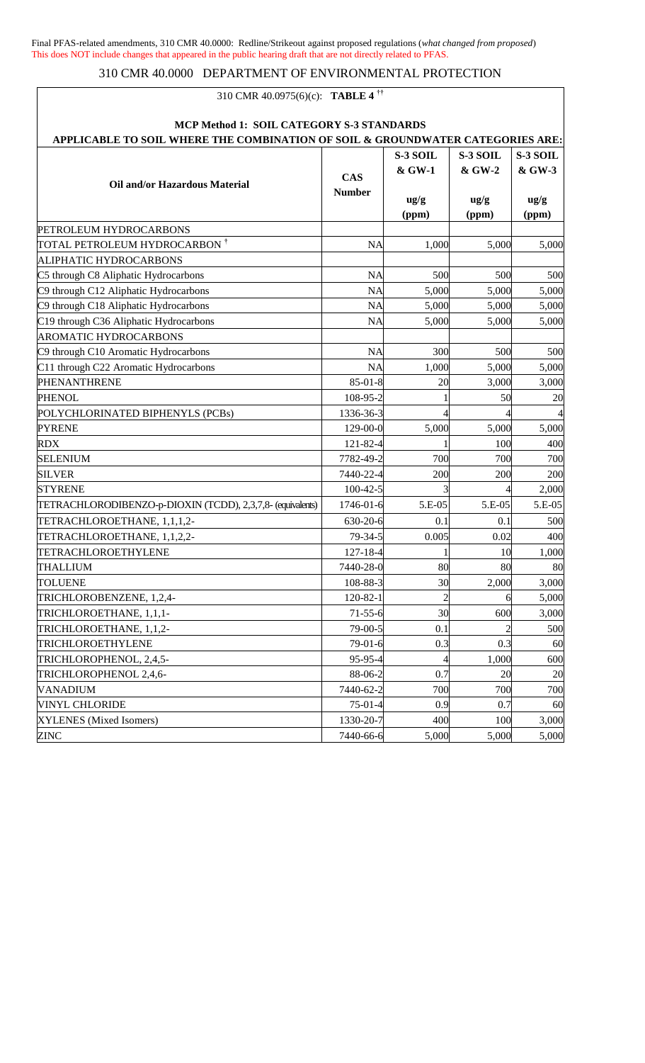## 310 CMR 40.0000 DEPARTMENT OF ENVIRONMENTAL PROTECTION

## 310 CMR 40.0975(6)(c): **TABLE 4 ††**

| MCP Method 1: SOIL CATEGORY S-3 STANDARDS<br>APPLICABLE TO SOIL WHERE THE COMBINATION OF SOIL & GROUNDWATER CATEGORIES ARE: |                             |                         |                          |                          |
|-----------------------------------------------------------------------------------------------------------------------------|-----------------------------|-------------------------|--------------------------|--------------------------|
|                                                                                                                             |                             | S-3 SOIL                | S-3 SOIL                 | S-3 SOIL                 |
|                                                                                                                             |                             | & GW-1                  | & GW-2                   | & GW-3                   |
| <b>Oil and/or Hazardous Material</b>                                                                                        | <b>CAS</b><br><b>Number</b> | $\frac{ug}{g}$<br>(ppm) | $\frac{u g}{g}$<br>(ppm) | $\frac{u g}{g}$<br>(ppm) |
| PETROLEUM HYDROCARBONS                                                                                                      |                             |                         |                          |                          |
| TOTAL PETROLEUM HYDROCARBON †                                                                                               | <b>NA</b>                   | 1,000                   | 5,000                    | 5,000                    |
| ALIPHATIC HYDROCARBONS                                                                                                      |                             |                         |                          |                          |
| C5 through C8 Aliphatic Hydrocarbons                                                                                        | <b>NA</b>                   | 500                     | 500                      | 500                      |
| C9 through C12 Aliphatic Hydrocarbons                                                                                       | <b>NA</b>                   | 5,000                   | 5,000                    | 5,000                    |
| C9 through C18 Aliphatic Hydrocarbons                                                                                       | <b>NA</b>                   | 5,000                   | 5,000                    | 5,000                    |
| C19 through C36 Aliphatic Hydrocarbons                                                                                      | <b>NA</b>                   | 5,000                   | 5,000                    | 5,000                    |
| <b>AROMATIC HYDROCARBONS</b>                                                                                                |                             |                         |                          |                          |
| C9 through C10 Aromatic Hydrocarbons                                                                                        | <b>NA</b>                   | 300                     | 500                      | 500                      |
| C11 through C22 Aromatic Hydrocarbons                                                                                       | <b>NA</b>                   | 1,000                   | 5,000                    | 5,000                    |
| PHENANTHRENE                                                                                                                | $85 - 01 - 8$               | 20                      | 3,000                    | 3,000                    |
| <b>PHENOL</b>                                                                                                               | 108-95-2                    |                         | 50                       | 20                       |
| POLYCHLORINATED BIPHENYLS (PCBs)                                                                                            | 1336-36-3                   |                         |                          |                          |
| <b>PYRENE</b>                                                                                                               | 129-00-0                    | 5,000                   | 5,000                    | 5,000                    |
| <b>RDX</b>                                                                                                                  | 121-82-4                    |                         | 100                      | 400                      |
| <b>SELENIUM</b>                                                                                                             | 7782-49-2                   | 700                     | 700                      | 700                      |
| <b>SILVER</b>                                                                                                               | 7440-22-4                   | 200                     | 200                      | 200                      |
| <b>STYRENE</b>                                                                                                              | $100 - 42 - 5$              |                         |                          | 2,000                    |
| TETRACHLORODIBENZO-p-DIOXIN (TCDD), 2,3,7,8- (equivalents)                                                                  | 1746-01-6                   | 5.E-05                  | 5.E-05                   | 5.E-05                   |
| TETRACHLOROETHANE, 1,1,1,2-                                                                                                 | 630-20-6                    | 0.1                     | 0.1                      | 500                      |
| TETRACHLOROETHANE, 1,1,2,2-                                                                                                 | 79-34-5                     | 0.005                   | 0.02                     | 400                      |
| TETRACHLOROETHYLENE                                                                                                         | 127-18-4                    |                         | 10                       | 1,000                    |
| <b>THALLIUM</b>                                                                                                             | 7440-28-0                   | 80                      | 80                       | 80                       |
| <b>TOLUENE</b>                                                                                                              | 108-88-3                    | 30                      | 2,000                    | 3,000                    |
| TRICHLOROBENZENE, 1,2,4-                                                                                                    | 120-82-1                    | $\overline{c}$          | 6                        | 5,000                    |
| TRICHLOROETHANE, 1,1,1-                                                                                                     | $71 - 55 - 6$               | 30                      | 600                      | 3,000                    |
| TRICHLOROETHANE, 1,1,2-                                                                                                     | 79-00-5                     | 0.1                     |                          | 500                      |
| TRICHLOROETHYLENE                                                                                                           | $79-01-6$                   | 0.3                     | 0.3                      | 60                       |
| TRICHLOROPHENOL, 2,4,5-                                                                                                     | 95-95-4                     |                         | 1,000                    | 600                      |
| TRICHLOROPHENOL 2,4,6-                                                                                                      | 88-06-2                     | 0.7                     | 20                       | 20                       |
| <b>VANADIUM</b>                                                                                                             | 7440-62-2                   | 700                     | 700                      | 700                      |
| <b>VINYL CHLORIDE</b>                                                                                                       | $75-01-4$                   | 0.9                     | 0.7                      | 60                       |
| XYLENES (Mixed Isomers)                                                                                                     | 1330-20-7                   | 400                     | 100                      | 3,000                    |
| <b>ZINC</b>                                                                                                                 | 7440-66-6                   | 5,000                   | 5,000                    | 5,000                    |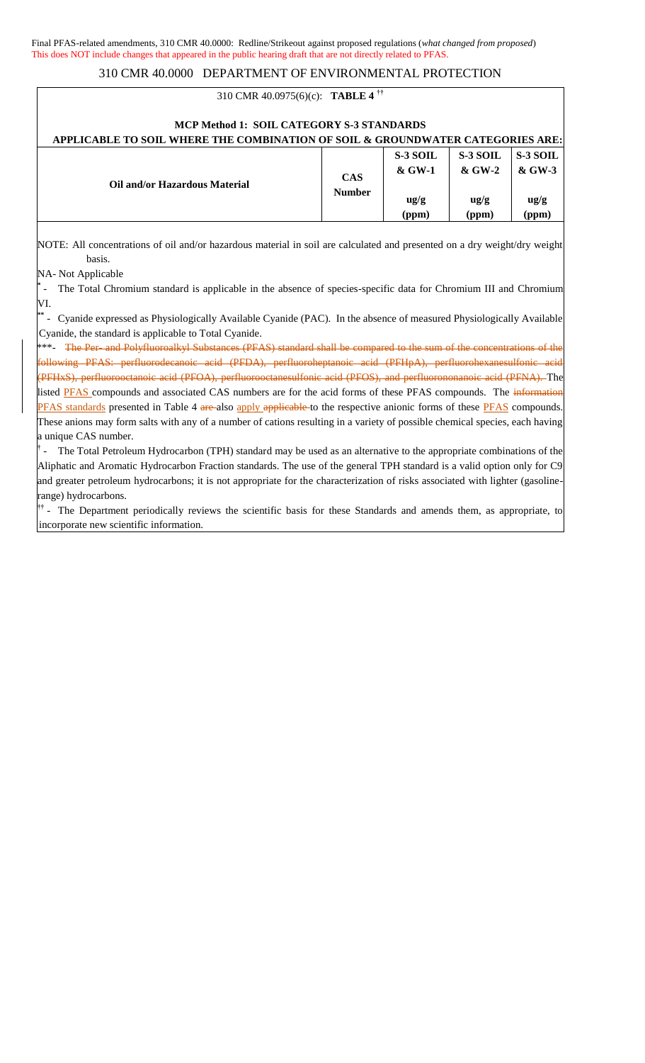### 310 CMR 40.0975(6)(c): **TABLE 4 ††**

| MCP Method 1: SOIL CATEGORY S-3 STANDARDS<br>APPLICABLE TO SOIL WHERE THE COMBINATION OF SOIL & GROUNDWATER CATEGORIES ARE: |                             |                                               |                                                |                                                  |
|-----------------------------------------------------------------------------------------------------------------------------|-----------------------------|-----------------------------------------------|------------------------------------------------|--------------------------------------------------|
| Oil and/or Hazardous Material                                                                                               | <b>CAS</b><br><b>Number</b> | S-3 SOIL<br>& GW-1<br>$\frac{ug}{g}$<br>(ppm) | S-3 SOIL<br>& GW-2<br>$\frac{u g}{g}$<br>(ppm) | S-3 SOIL<br>$&$ GW-3<br>$\frac{u g}{g}$<br>(ppm) |

NOTE: All concentrations of oil and/or hazardous material in soil are calculated and presented on a dry weight/dry weight basis.

NA- Not Applicable

**\*** - The Total Chromium standard is applicable in the absence of species-specific data for Chromium III and Chromium VI.

**\*\*** - Cyanide expressed as Physiologically Available Cyanide (PAC). In the absence of measured Physiologically Available Cyanide, the standard is applicable to Total Cyanide.

**\*\*\*** \*\*\*- The Per- and Polyfluoroalkyl Substances (PFAS) standard shall be compared to the sum of the concentrations of the following PFAS: perfluorodecanoic acid (PFDA), perfluoroheptanoic acid (PFHpA), perfluorohexanesulfonic acid (PFHxS), perfluorooctanoic acid (PFOA), perfluorooctanesulfonic acid (PFOS), and perfluorononanoic acid (PFNA). The listed **PFAS** compounds and associated CAS numbers are for the acid forms of these PFAS compounds. The information PFAS standards presented in Table 4 are also apply applicable to the respective anionic forms of these PFAS compounds. These anions may form salts with any of a number of cations resulting in a variety of possible chemical species, each having a unique CAS number.

**†** The Total Petroleum Hydrocarbon (TPH) standard may be used as an alternative to the appropriate combinations of the Aliphatic and Aromatic Hydrocarbon Fraction standards. The use of the general TPH standard is a valid option only for C9 and greater petroleum hydrocarbons; it is not appropriate for the characterization of risks associated with lighter (gasolinerange) hydrocarbons.

<sup>††</sup> - The Department periodically reviews the scientific basis for these Standards and amends them, as appropriate, to incorporate new scientific information.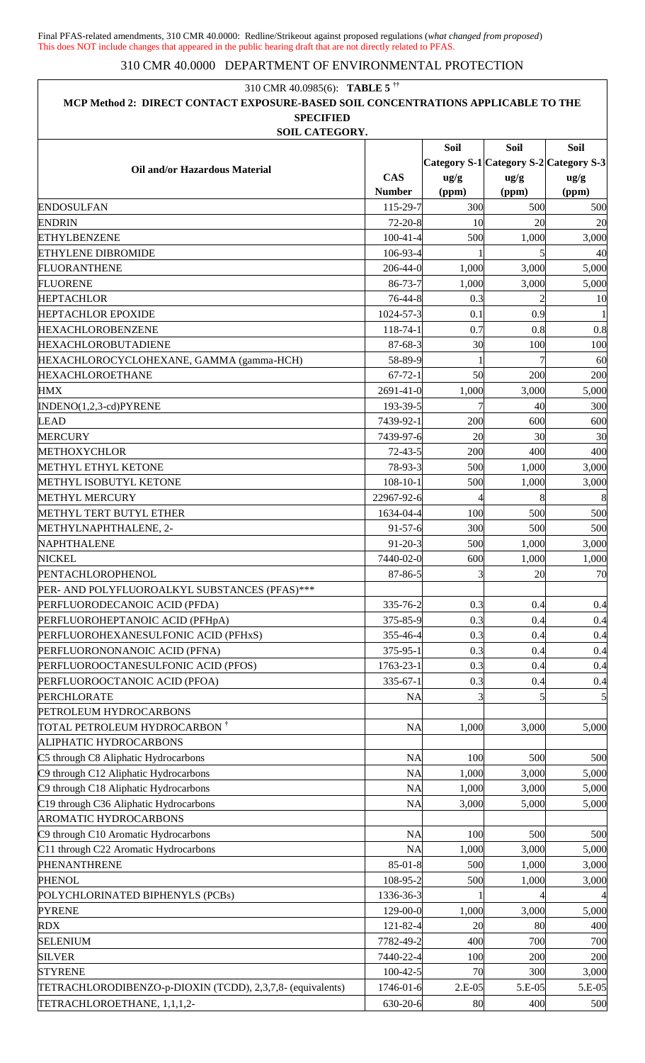| 310 CMR 40.0985(6): TABLE 5 <sup>††</sup>                                         |                |                 |                 |                                        |
|-----------------------------------------------------------------------------------|----------------|-----------------|-----------------|----------------------------------------|
| MCP Method 2: DIRECT CONTACT EXPOSURE-BASED SOIL CONCENTRATIONS APPLICABLE TO THE |                |                 |                 |                                        |
| <b>SPECIFIED</b>                                                                  |                |                 |                 |                                        |
| <b>SOIL CATEGORY.</b>                                                             |                |                 |                 |                                        |
|                                                                                   |                | <b>Soil</b>     | <b>Soil</b>     | Soil                                   |
| Oil and/or Hazardous Material                                                     |                |                 |                 | Category S-1 Category S-2 Category S-3 |
|                                                                                   | <b>CAS</b>     | $\frac{u g}{g}$ | $\frac{u g}{g}$ | $\frac{ug}{g}$                         |
|                                                                                   | <b>Number</b>  | (ppm)           | (ppm)           | (ppm)                                  |
| <b>ENDOSULFAN</b>                                                                 | 115-29-7       | 300             | 500             | 500                                    |
| <b>ENDRIN</b>                                                                     | $72 - 20 - 8$  | 10              | 20              | 20                                     |
| <b>ETHYLBENZENE</b>                                                               | $100 - 41 - 4$ | 500             | 1,000           | 3,000                                  |
| <b>ETHYLENE DIBROMIDE</b>                                                         | 106-93-4       |                 |                 | 40                                     |
| <b>FLUORANTHENE</b>                                                               | $206 - 44 - 0$ | 1,000           | 3,000           | 5,000                                  |
| <b>FLUORENE</b>                                                                   | 86-73-7        | 1,000           | 3,000           | 5,000                                  |
| <b>HEPTACHLOR</b>                                                                 | 76-44-8        | 0.3             |                 | 10                                     |
| <b>HEPTACHLOR EPOXIDE</b>                                                         | 1024-57-3      | 0.1             | 0.9             |                                        |
| <b>HEXACHLOROBENZENE</b>                                                          | 118-74-1       | 0.7             | 0.8             | 0.8                                    |
| <b>HEXACHLOROBUTADIENE</b>                                                        | 87-68-3        | 30              | 100             | 100                                    |
| HEXACHLOROCYCLOHEXANE, GAMMA (gamma-HCH)                                          | 58-89-9        |                 |                 | 60                                     |
| <b>HEXACHLOROETHANE</b>                                                           | $67 - 72 - 1$  | 50              | 200             | 200                                    |
| <b>HMX</b>                                                                        | 2691-41-0      | 1,000           | 3,000           | 5,000                                  |
| INDENO(1,2,3-cd)PYRENE                                                            | 193-39-5       |                 | 40              | 300                                    |
| <b>LEAD</b>                                                                       | 7439-92-1      | 200             | 600             | 600                                    |
| <b>MERCURY</b>                                                                    | 7439-97-6      | 20              | 30              | 30                                     |
| <b>METHOXYCHLOR</b>                                                               | $72 - 43 - 5$  | 200             | 400             | 400                                    |
| METHYL ETHYL KETONE                                                               | 78-93-3        | 500             | 1,000           | 3,000                                  |
| METHYL ISOBUTYL KETONE                                                            | $108 - 10 - 1$ | 500             | 1,000           | 3,000                                  |
| <b>METHYL MERCURY</b>                                                             | 22967-92-6     |                 | 8               | 8                                      |
| METHYL TERT BUTYL ETHER                                                           | 1634-04-4      | 100             | 500             | 500                                    |
| METHYLNAPHTHALENE, 2-                                                             | $91 - 57 - 6$  | 300             | 500             | 500                                    |
| NAPHTHALENE                                                                       | $91 - 20 - 3$  | 500             | 1,000           | 3,000                                  |
| <b>NICKEL</b>                                                                     | 7440-02-0      | 600             | 1,000           | 1,000                                  |
| PENTACHLOROPHENOL                                                                 | 87-86-5        |                 | 20              | 70                                     |
| PER- AND POLYFLUOROALKYL SUBSTANCES (PFAS)***                                     |                |                 |                 |                                        |
| PERFLUORODECANOIC ACID (PFDA)                                                     | 335-76-2       | 0.3             | 0.4             | 0.4                                    |
| PERFLUOROHEPTANOIC ACID (PFHpA)                                                   | 375-85-9       | 0.3             | 0.4             | 0.4                                    |
| PERFLUOROHEXANESULFONIC ACID (PFHxS)                                              | 355-46-4       | 0.3             | 0.4             | 0.4                                    |
| PERFLUORONONANOIC ACID (PFNA)                                                     | 375-95-1       | 0.3             | 0.4             | 0.4                                    |
| PERFLUOROOCTANESULFONIC ACID (PFOS)                                               | 1763-23-1      | 0.3             | 0.4             | 0.4                                    |
| PERFLUOROOCTANOIC ACID (PFOA)                                                     | $335 - 67 - 1$ | 0.3             | 0.4             | 0.4                                    |
| <b>PERCHLORATE</b>                                                                | <b>NA</b>      |                 |                 |                                        |
| PETROLEUM HYDROCARBONS                                                            |                |                 |                 |                                        |
| TOTAL PETROLEUM HYDROCARBON †                                                     |                |                 |                 |                                        |
|                                                                                   | <b>NA</b>      | 1,000           | 3,000           | 5,000                                  |
| ALIPHATIC HYDROCARBONS                                                            |                |                 |                 |                                        |
| C5 through C8 Aliphatic Hydrocarbons                                              | <b>NA</b>      | 100             | 500             | 500                                    |
| C9 through C12 Aliphatic Hydrocarbons                                             | <b>NA</b>      | 1,000           | 3,000           | 5,000                                  |
| C9 through C18 Aliphatic Hydrocarbons                                             | <b>NA</b>      | 1,000           | 3,000           | 5,000                                  |
| C19 through C36 Aliphatic Hydrocarbons                                            | <b>NA</b>      | 3,000           | 5,000           | 5,000                                  |
| <b>AROMATIC HYDROCARBONS</b>                                                      |                |                 |                 |                                        |
| C9 through C10 Aromatic Hydrocarbons                                              | <b>NA</b>      | 100             | 500             | 500                                    |
| C11 through C22 Aromatic Hydrocarbons                                             | <b>NA</b>      | 1,000           | 3,000           | 5,000                                  |
| PHENANTHRENE                                                                      | $85 - 01 - 8$  | 500             | 1,000           | 3,000                                  |
| <b>PHENOL</b>                                                                     | 108-95-2       | 500             | 1,000           | 3,000                                  |
| POLYCHLORINATED BIPHENYLS (PCBs)                                                  | 1336-36-3      |                 |                 |                                        |
| <b>PYRENE</b>                                                                     | 129-00-0       | 1,000           | 3,000           | 5,000                                  |
| <b>RDX</b>                                                                        | 121-82-4       | 20              | 80              | 400                                    |
| <b>SELENIUM</b>                                                                   | 7782-49-2      | 400             | 700             | 700                                    |
| <b>SILVER</b>                                                                     | 7440-22-4      | 100             | 200             | 200                                    |
| <b>STYRENE</b>                                                                    | $100 - 42 - 5$ | 70              | 300             | 3,000                                  |
| TETRACHLORODIBENZO-p-DIOXIN (TCDD), 2,3,7,8- (equivalents)                        | 1746-01-6      | $2.E-05$        | 5.E-05          | 5.E-05                                 |
| TETRACHLOROETHANE, 1,1,1,2-                                                       | 630-20-6       | 80              | 400             | 500                                    |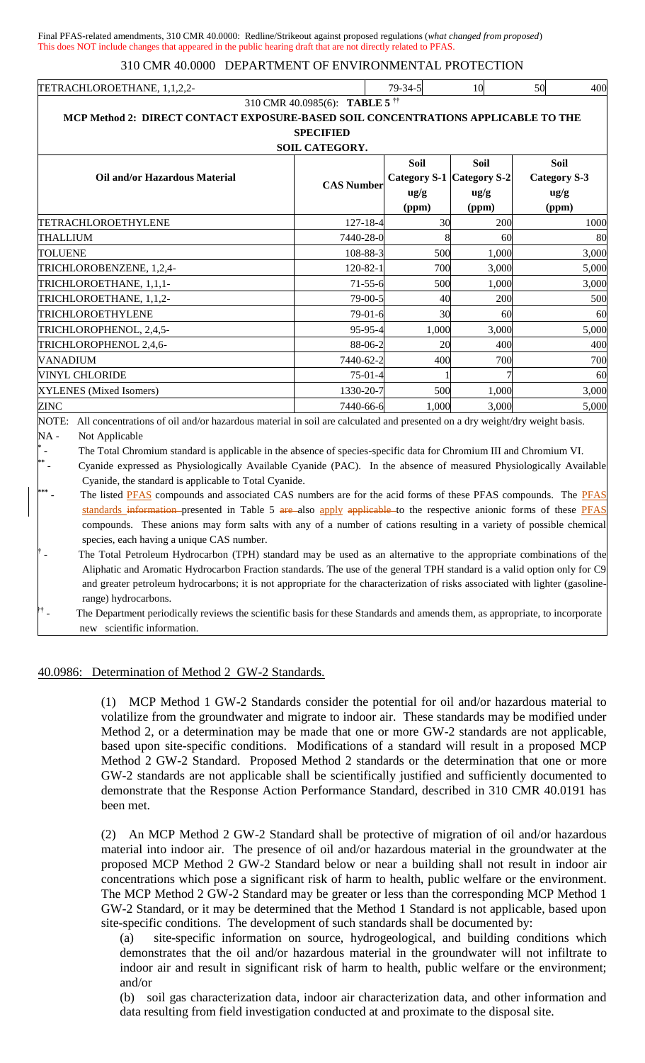| TETRACHLOROETHANE.<br>. | $7Q_{-}$ |  | 50 | 400 |
|-------------------------|----------|--|----|-----|
|-------------------------|----------|--|----|-----|

310 CMR 40.0985(6): **TABLE 5 ††**

| MCP Method 2: DIRECT CONTACT EXPOSURE-BASED SOIL CONCENTRATIONS APPLICABLE TO THE<br><b>SPECIFIED</b><br><b>SOIL CATEGORY.</b><br><b>Soil</b><br><b>Soil</b><br><b>Soil</b><br>Category S-1 Category S-2 |                   |                         |                         |                                                |  |  |  |
|----------------------------------------------------------------------------------------------------------------------------------------------------------------------------------------------------------|-------------------|-------------------------|-------------------------|------------------------------------------------|--|--|--|
| Oil and/or Hazardous Material                                                                                                                                                                            | <b>CAS Number</b> | $\frac{ug}{g}$<br>(ppm) | $\frac{ug}{g}$<br>(ppm) | <b>Category S-3</b><br>$\frac{ug}{g}$<br>(ppm) |  |  |  |
| TETRACHLOROETHYLENE                                                                                                                                                                                      | 127-18-4          | 30                      | 200                     | 1000                                           |  |  |  |
| <b>THALLIUM</b>                                                                                                                                                                                          | 7440-28-0         |                         | 60                      | 80                                             |  |  |  |
| <b>TOLUENE</b>                                                                                                                                                                                           | 108-88-3          | 500                     | 1,000                   | 3,000                                          |  |  |  |
| TRICHLOROBENZENE, 1,2,4-                                                                                                                                                                                 | $120 - 82 - 1$    | 700                     | 3,000                   | 5,000                                          |  |  |  |
| TRICHLOROETHANE, 1,1,1-                                                                                                                                                                                  | $71 - 55 - 6$     | 500                     | 1,000                   | 3,000                                          |  |  |  |
| TRICHLOROETHANE, 1,1,2-                                                                                                                                                                                  | $79-00-5$         | 40                      | 200                     | 500                                            |  |  |  |
| TRICHLOROETHYLENE                                                                                                                                                                                        | $79-01-6$         | 30                      | 60                      | 60                                             |  |  |  |
| TRICHLOROPHENOL, 2,4,5-                                                                                                                                                                                  | 95-95-4           | 1,000                   | 3,000                   | 5,000                                          |  |  |  |
| TRICHLOROPHENOL 2,4,6-                                                                                                                                                                                   | 88-06-2           | 20                      | 400                     | 400                                            |  |  |  |
| <b>VANADIUM</b>                                                                                                                                                                                          | 7440-62-2         | 400                     | 700                     | 700                                            |  |  |  |
| <b>VINYL CHLORIDE</b>                                                                                                                                                                                    | $75-01-4$         |                         |                         | 60                                             |  |  |  |
| XYLENES (Mixed Isomers)                                                                                                                                                                                  | 1330-20-7         | 500                     | 1,000                   | 3,000                                          |  |  |  |
| ZINC                                                                                                                                                                                                     | 7440-66-6         | 1,000                   | 3,000                   | 5,000                                          |  |  |  |

NOTE: All concentrations of oil and/or hazardous material in soil are calculated and presented on a dry weight/dry weight basis. NA - Not Applicable

**\*** The Total Chromium standard is applicable in the absence of species-specific data for Chromium III and Chromium VI.

- Cyanide expressed as Physiologically Available Cyanide (PAC). In the absence of measured Physiologically Available Cyanide, the standard is applicable to Total Cyanide.

**\*\*\***  The listed PFAS compounds and associated CAS numbers are for the acid forms of these PFAS compounds. The PFAS standards information presented in Table 5 are also apply applicable to the respective anionic forms of these PFAS compounds. These anions may form salts with any of a number of cations resulting in a variety of possible chemical species, each having a unique CAS number.

**†** The Total Petroleum Hydrocarbon (TPH) standard may be used as an alternative to the appropriate combinations of the Aliphatic and Aromatic Hydrocarbon Fraction standards. The use of the general TPH standard is a valid option only for C9 and greater petroleum hydrocarbons; it is not appropriate for the characterization of risks associated with lighter (gasolinerange) hydrocarbons.

**††** The Department periodically reviews the scientific basis for these Standards and amends them, as appropriate, to incorporate new scientific information.

## 40.0986: Determination of Method 2 GW-2 Standards.

**\*\***

(1) MCP Method 1 GW-2 Standards consider the potential for oil and/or hazardous material to volatilize from the groundwater and migrate to indoor air. These standards may be modified under Method 2, or a determination may be made that one or more GW-2 standards are not applicable, based upon site-specific conditions. Modifications of a standard will result in a proposed MCP Method 2 GW-2 Standard. Proposed Method 2 standards or the determination that one or more GW-2 standards are not applicable shall be scientifically justified and sufficiently documented to demonstrate that the Response Action Performance Standard, described in 310 CMR 40.0191 has been met.

(2) An MCP Method 2 GW-2 Standard shall be protective of migration of oil and/or hazardous material into indoor air. The presence of oil and/or hazardous material in the groundwater at the proposed MCP Method 2 GW-2 Standard below or near a building shall not result in indoor air concentrations which pose a significant risk of harm to health, public welfare or the environment. The MCP Method 2 GW-2 Standard may be greater or less than the corresponding MCP Method 1 GW-2 Standard, or it may be determined that the Method 1 Standard is not applicable, based upon site-specific conditions. The development of such standards shall be documented by:

(a) site-specific information on source, hydrogeological, and building conditions which demonstrates that the oil and/or hazardous material in the groundwater will not infiltrate to indoor air and result in significant risk of harm to health, public welfare or the environment; and/or

(b) soil gas characterization data, indoor air characterization data, and other information and data resulting from field investigation conducted at and proximate to the disposal site.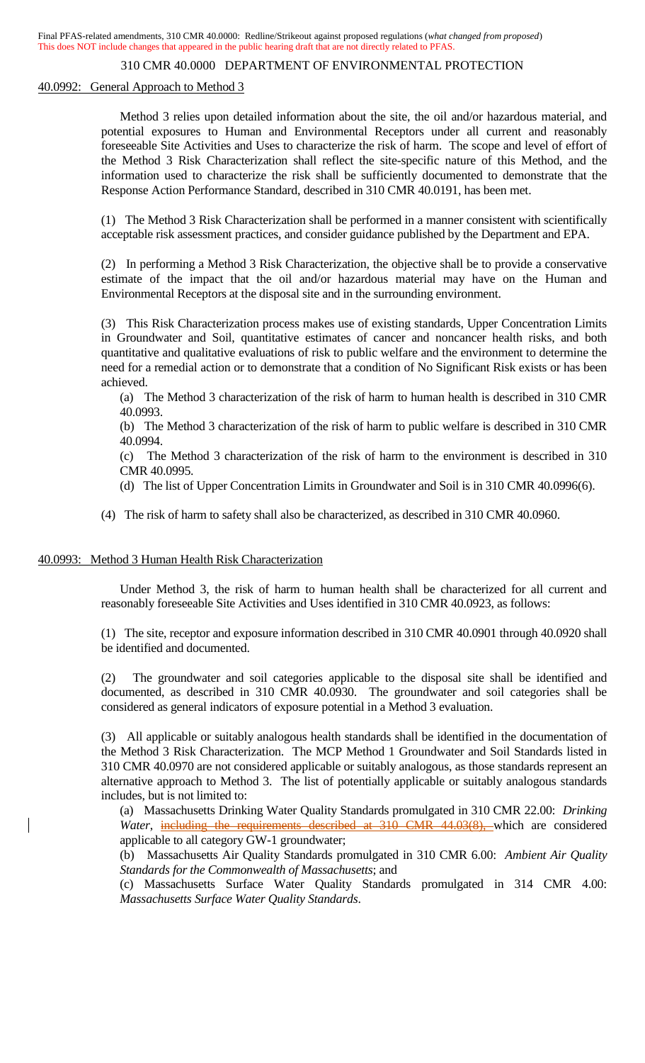### 310 CMR 40.0000 DEPARTMENT OF ENVIRONMENTAL PROTECTION

#### 40.0992: General Approach to Method 3

Method 3 relies upon detailed information about the site, the oil and/or hazardous material, and potential exposures to Human and Environmental Receptors under all current and reasonably foreseeable Site Activities and Uses to characterize the risk of harm. The scope and level of effort of the Method 3 Risk Characterization shall reflect the site-specific nature of this Method, and the information used to characterize the risk shall be sufficiently documented to demonstrate that the Response Action Performance Standard, described in 310 CMR 40.0191, has been met.

(1) The Method 3 Risk Characterization shall be performed in a manner consistent with scientifically acceptable risk assessment practices, and consider guidance published by the Department and EPA.

(2) In performing a Method 3 Risk Characterization, the objective shall be to provide a conservative estimate of the impact that the oil and/or hazardous material may have on the Human and Environmental Receptors at the disposal site and in the surrounding environment.

(3) This Risk Characterization process makes use of existing standards, Upper Concentration Limits in Groundwater and Soil, quantitative estimates of cancer and noncancer health risks, and both quantitative and qualitative evaluations of risk to public welfare and the environment to determine the need for a remedial action or to demonstrate that a condition of No Significant Risk exists or has been achieved.

(a) The Method 3 characterization of the risk of harm to human health is described in 310 CMR 40.0993.

(b) The Method 3 characterization of the risk of harm to public welfare is described in 310 CMR 40.0994.

(c) The Method 3 characterization of the risk of harm to the environment is described in 310 CMR 40.0995.

(d) The list of Upper Concentration Limits in Groundwater and Soil is in 310 CMR 40.0996(6).

(4) The risk of harm to safety shall also be characterized, as described in 310 CMR 40.0960.

#### 40.0993: Method 3 Human Health Risk Characterization

Under Method 3, the risk of harm to human health shall be characterized for all current and reasonably foreseeable Site Activities and Uses identified in 310 CMR 40.0923, as follows:

(1) The site, receptor and exposure information described in 310 CMR 40.0901 through 40.0920 shall be identified and documented.

(2) The groundwater and soil categories applicable to the disposal site shall be identified and documented, as described in 310 CMR 40.0930. The groundwater and soil categories shall be considered as general indicators of exposure potential in a Method 3 evaluation.

(3) All applicable or suitably analogous health standards shall be identified in the documentation of the Method 3 Risk Characterization. The MCP Method 1 Groundwater and Soil Standards listed in 310 CMR 40.0970 are not considered applicable or suitably analogous, as those standards represent an alternative approach to Method 3. The list of potentially applicable or suitably analogous standards includes, but is not limited to:

(a) Massachusetts Drinking Water Quality Standards promulgated in 310 CMR 22.00: *Drinking Water*, *including the requirements described at 310 CMR 44.03(8)*, which are considered applicable to all category GW-1 groundwater;

(b) Massachusetts Air Quality Standards promulgated in 310 CMR 6.00: *Ambient Air Quality Standards for the Commonwealth of Massachusetts*; and

(c) Massachusetts Surface Water Quality Standards promulgated in 314 CMR 4.00: *Massachusetts Surface Water Quality Standards*.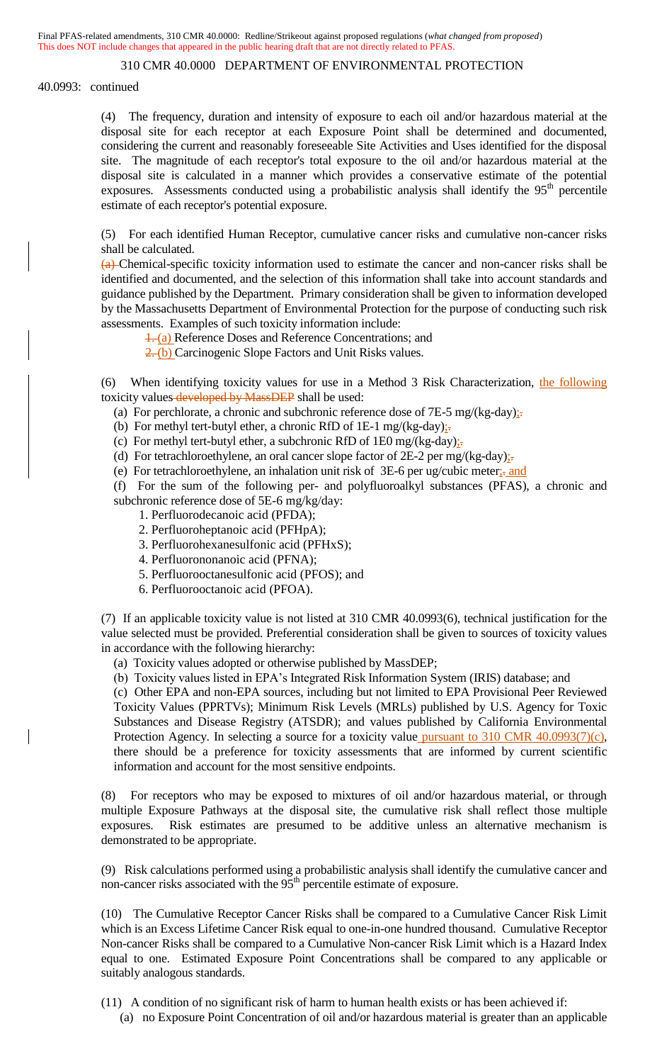40.0993: continued

(4) The frequency, duration and intensity of exposure to each oil and/or hazardous material at the disposal site for each receptor at each Exposure Point shall be determined and documented, considering the current and reasonably foreseeable Site Activities and Uses identified for the disposal site. The magnitude of each receptor's total exposure to the oil and/or hazardous material at the disposal site is calculated in a manner which provides a conservative estimate of the potential exposures. Assessments conducted using a probabilistic analysis shall identify the  $95<sup>th</sup>$  percentile estimate of each receptor's potential exposure.

(5) For each identified Human Receptor, cumulative cancer risks and cumulative non-cancer risks shall be calculated.

(a) Chemical-specific toxicity information used to estimate the cancer and non-cancer risks shall be identified and documented, and the selection of this information shall take into account standards and guidance published by the Department. Primary consideration shall be given to information developed by the Massachusetts Department of Environmental Protection for the purpose of conducting such risk assessments. Examples of such toxicity information include:

1. (a) Reference Doses and Reference Concentrations; and

2. (b) Carcinogenic Slope Factors and Unit Risks values.

(6) When identifying toxicity values for use in a Method 3 Risk Characterization, the following toxicity values-developed by MassDEP shall be used:

(a) For perchlorate, a chronic and subchronic reference dose of 7E-5 mg/(kg-day) $\frac{1}{2}$ .

(b) For methyl tert-butyl ether, a chronic RfD of 1E-1 mg/(kg-day) $:=$ 

(c) For methyl tert-butyl ether, a subchronic RfD of 1E0 mg/(kg-day) $\frac{1}{x}$ .

(d) For tetrachloroethylene, an oral cancer slope factor of  $2E-2$  per mg/(kg-day);

(e) For tetrachloroethylene, an inhalation unit risk of 3E-6 per ug/cubic meter;. and

(f) For the sum of the following per- and polyfluoroalkyl substances (PFAS), a chronic and subchronic reference dose of 5E-6 mg/kg/day:

- 1. Perfluorodecanoic acid (PFDA);
- 2. Perfluoroheptanoic acid (PFHpA);

3. Perfluorohexanesulfonic acid (PFHxS);

- 4. Perfluorononanoic acid (PFNA);
- 5. Perfluorooctanesulfonic acid (PFOS); and
- 6. Perfluorooctanoic acid (PFOA).

(7) If an applicable toxicity value is not listed at 310 CMR 40.0993(6), technical justification for the value selected must be provided. Preferential consideration shall be given to sources of toxicity values in accordance with the following hierarchy:

(a) Toxicity values adopted or otherwise published by MassDEP;

(b) Toxicity values listed in EPA's Integrated Risk Information System (IRIS) database; and

(c) Other EPA and non-EPA sources, including but not limited to EPA Provisional Peer Reviewed Toxicity Values (PPRTVs); Minimum Risk Levels (MRLs) published by U.S. Agency for Toxic Substances and Disease Registry (ATSDR); and values published by California Environmental Protection Agency. In selecting a source for a toxicity value pursuant to 310 CMR 40.0993(7)(c), there should be a preference for toxicity assessments that are informed by current scientific information and account for the most sensitive endpoints.

(8) For receptors who may be exposed to mixtures of oil and/or hazardous material, or through multiple Exposure Pathways at the disposal site, the cumulative risk shall reflect those multiple exposures. Risk estimates are presumed to be additive unless an alternative mechanism is demonstrated to be appropriate.

(9) Risk calculations performed using a probabilistic analysis shall identify the cumulative cancer and non-cancer risks associated with the  $95<sup>th</sup>$  percentile estimate of exposure.

(10) The Cumulative Receptor Cancer Risks shall be compared to a Cumulative Cancer Risk Limit which is an Excess Lifetime Cancer Risk equal to one-in-one hundred thousand. Cumulative Receptor Non-cancer Risks shall be compared to a Cumulative Non-cancer Risk Limit which is a Hazard Index equal to one. Estimated Exposure Point Concentrations shall be compared to any applicable or suitably analogous standards.

(11) A condition of no significant risk of harm to human health exists or has been achieved if:

(a) no Exposure Point Concentration of oil and/or hazardous material is greater than an applicable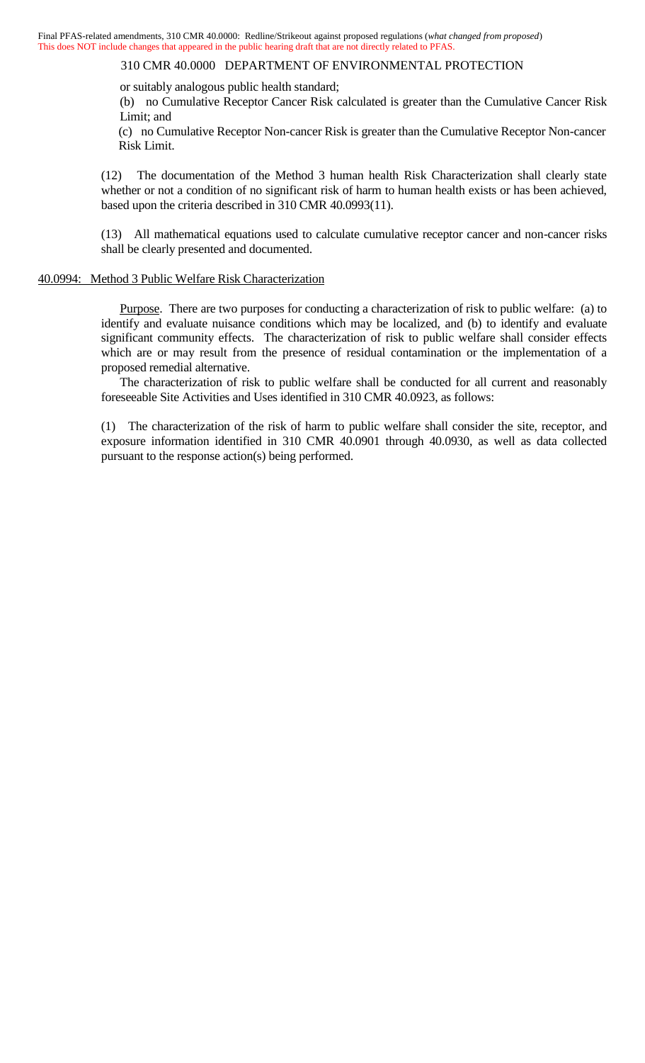or suitably analogous public health standard;

(b) no Cumulative Receptor Cancer Risk calculated is greater than the Cumulative Cancer Risk Limit; and

(c) no Cumulative Receptor Non-cancer Risk is greater than the Cumulative Receptor Non-cancer Risk Limit.

(12) The documentation of the Method 3 human health Risk Characterization shall clearly state whether or not a condition of no significant risk of harm to human health exists or has been achieved, based upon the criteria described in 310 CMR 40.0993(11).

(13) All mathematical equations used to calculate cumulative receptor cancer and non-cancer risks shall be clearly presented and documented.

#### 40.0994: Method 3 Public Welfare Risk Characterization

Purpose. There are two purposes for conducting a characterization of risk to public welfare: (a) to identify and evaluate nuisance conditions which may be localized, and (b) to identify and evaluate significant community effects. The characterization of risk to public welfare shall consider effects which are or may result from the presence of residual contamination or the implementation of a proposed remedial alternative.

The characterization of risk to public welfare shall be conducted for all current and reasonably foreseeable Site Activities and Uses identified in 310 CMR 40.0923, as follows:

(1) The characterization of the risk of harm to public welfare shall consider the site, receptor, and exposure information identified in 310 CMR 40.0901 through 40.0930, as well as data collected pursuant to the response action(s) being performed.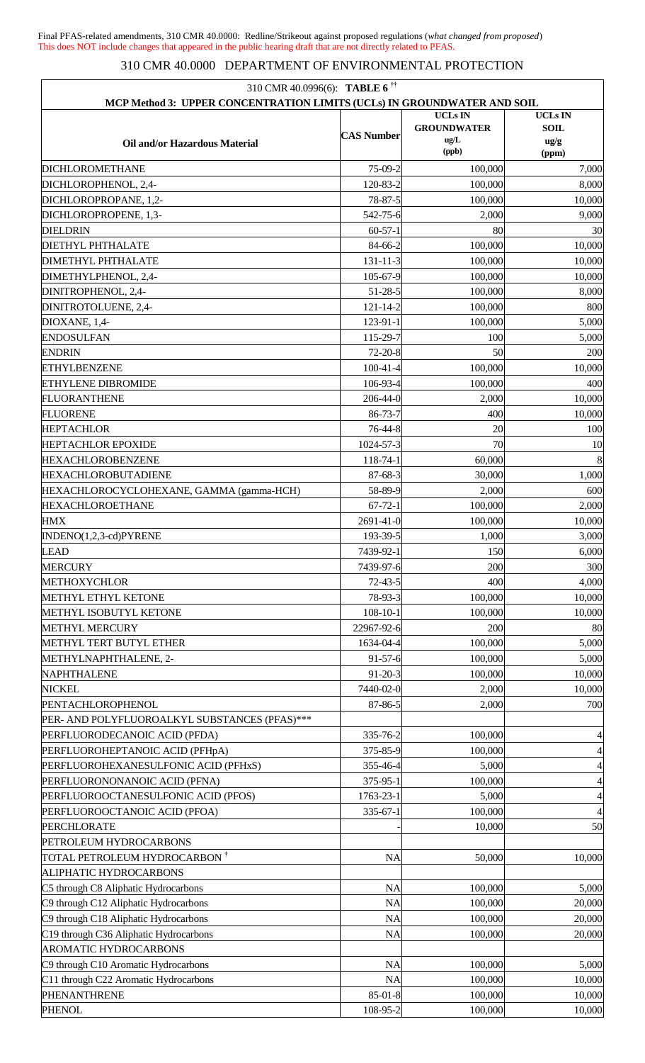| 310 CMR 40.0996(6): <b>TABLE 6</b> <sup>††</sup>                        |                   |                    |                          |
|-------------------------------------------------------------------------|-------------------|--------------------|--------------------------|
| MCP Method 3: UPPER CONCENTRATION LIMITS (UCLs) IN GROUNDWATER AND SOIL |                   | <b>UCLs IN</b>     | <b>UCLs IN</b>           |
|                                                                         | <b>CAS Number</b> | <b>GROUNDWATER</b> | <b>SOIL</b>              |
| Oil and/or Hazardous Material                                           |                   | ug/L<br>(ppb)      | ug/g<br>(ppm)            |
| <b>DICHLOROMETHANE</b>                                                  | 75-09-2           | 100,000            | 7,000                    |
| DICHLOROPHENOL, 2,4-                                                    | 120-83-2          | 100,000            | 8,000                    |
| DICHLOROPROPANE, 1,2-                                                   | 78-87-5           | 100,000            | 10,000                   |
| DICHLOROPROPENE, 1,3-                                                   | 542-75-6          | 2,000              | 9,000                    |
| <b>DIELDRIN</b>                                                         | $60-57-1$         | 80                 | 30                       |
| <b>DIETHYL PHTHALATE</b>                                                | 84-66-2           | 100,000            | 10,000                   |
| <b>DIMETHYL PHTHALATE</b>                                               | 131-11-3          | 100,000            | 10,000                   |
| DIMETHYLPHENOL, 2,4-                                                    | 105-67-9          | 100,000            | 10,000                   |
| DINITROPHENOL, 2,4-                                                     | $51 - 28 - 5$     | 100,000            | 8,000                    |
| DINITROTOLUENE, 2,4-                                                    | 121-14-2          | 100,000            | 800                      |
| DIOXANE, 1,4-                                                           | 123-91-1          | 100,000            | 5,000                    |
| <b>ENDOSULFAN</b>                                                       | 115-29-7          | 100                | 5,000                    |
| <b>ENDRIN</b>                                                           | $72 - 20 - 8$     | 50                 | 200                      |
| <b>ETHYLBENZENE</b>                                                     | $100 - 41 - 4$    | 100,000            | 10,000                   |
| <b>ETHYLENE DIBROMIDE</b>                                               | 106-93-4          | 100,000            | 400                      |
| <b>FLUORANTHENE</b>                                                     | 206-44-0          | 2,000              | 10,000                   |
| <b>FLUORENE</b>                                                         | 86-73-7           | 400                | 10,000                   |
| <b>HEPTACHLOR</b>                                                       | 76-44-8           | 20                 | 100                      |
| <b>HEPTACHLOR EPOXIDE</b>                                               | 1024-57-3         | 70                 | 10                       |
| <b>HEXACHLOROBENZENE</b>                                                | 118-74-1          | 60,000             | 8                        |
| <b>HEXACHLOROBUTADIENE</b>                                              | 87-68-3           | 30,000             | 1,000                    |
| HEXACHLOROCYCLOHEXANE, GAMMA (gamma-HCH)                                | 58-89-9           | 2,000              | 600                      |
| <b>HEXACHLOROETHANE</b>                                                 | $67 - 72 - 1$     | 100,000            | 2,000                    |
| <b>HMX</b>                                                              | 2691-41-0         | 100,000            | 10,000                   |
| INDENO(1,2,3-cd)PYRENE                                                  | 193-39-5          | 1,000              | 3,000                    |
| <b>LEAD</b>                                                             | 7439-92-1         | 150                | 6,000                    |
| <b>MERCURY</b>                                                          | 7439-97-6         | 200                | 300                      |
| <b>METHOXYCHLOR</b>                                                     | $72 - 43 - 5$     | 400                | 4,000                    |
| <b>METHYL ETHYL KETONE</b>                                              | 78-93-3           | 100,000            | 10,000                   |
| METHYL ISOBUTYL KETONE                                                  | $108 - 10 - 1$    | 100,000            | 10,000                   |
| <b>METHYL MERCURY</b>                                                   | 22967-92-6        | 200                | 80                       |
| METHYL TERT BUTYL ETHER                                                 | 1634-04-4         | 100,000            | 5,000                    |
| METHYLNAPHTHALENE, 2-                                                   | $91 - 57 - 6$     | 100,000            | 5,000                    |
| NAPHTHALENE                                                             | $91 - 20 - 3$     | 100,000            | 10,000                   |
| <b>NICKEL</b>                                                           | 7440-02-0         | 2,000              | 10,000                   |
| PENTACHLOROPHENOL                                                       | 87-86-5           | 2,000              | 700                      |
| PER- AND POLYFLUOROALKYL SUBSTANCES (PFAS)***                           |                   |                    |                          |
| PERFLUORODECANOIC ACID (PFDA)                                           | 335-76-2          | 100,000            | $\overline{4}$           |
| PERFLUOROHEPTANOIC ACID (PFHpA)                                         | 375-85-9          | 100,000            | $\overline{4}$           |
| PERFLUOROHEXANESULFONIC ACID (PFHxS)                                    | 355-46-4          | 5,000              | $\overline{4}$           |
| PERFLUORONONANOIC ACID (PFNA)                                           | 375-95-1          | 100,000            | $\overline{\mathcal{L}}$ |
| PERFLUOROOCTANESULFONIC ACID (PFOS)                                     | 1763-23-1         | 5,000              | $\overline{\mathcal{L}}$ |
| PERFLUOROOCTANOIC ACID (PFOA)                                           | 335-67-1          | 100,000            | $\overline{4}$           |
| PERCHLORATE                                                             |                   | 10,000             | 50                       |
| PETROLEUM HYDROCARBONS                                                  |                   |                    |                          |
| TOTAL PETROLEUM HYDROCARBON †                                           | <b>NA</b>         | 50,000             | 10,000                   |
| ALIPHATIC HYDROCARBONS                                                  |                   |                    |                          |
| C5 through C8 Aliphatic Hydrocarbons                                    | <b>NA</b>         | 100,000            | 5,000                    |
| C9 through C12 Aliphatic Hydrocarbons                                   | <b>NA</b>         | 100,000            | 20,000                   |
| C9 through C18 Aliphatic Hydrocarbons                                   | <b>NA</b>         | 100,000            | 20,000                   |
|                                                                         | <b>NA</b>         |                    |                          |
| C19 through C36 Aliphatic Hydrocarbons<br>AROMATIC HYDROCARBONS         |                   | 100,000            | 20,000                   |
| C9 through C10 Aromatic Hydrocarbons                                    | <b>NA</b>         | 100,000            | 5,000                    |
| C11 through C22 Aromatic Hydrocarbons                                   | <b>NA</b>         | 100,000            |                          |
| PHENANTHRENE                                                            | $85 - 01 - 8$     | 100,000            | 10,000<br>10,000         |
| <b>PHENOL</b>                                                           | 108-95-2          | 100,000            | 10,000                   |
|                                                                         |                   |                    |                          |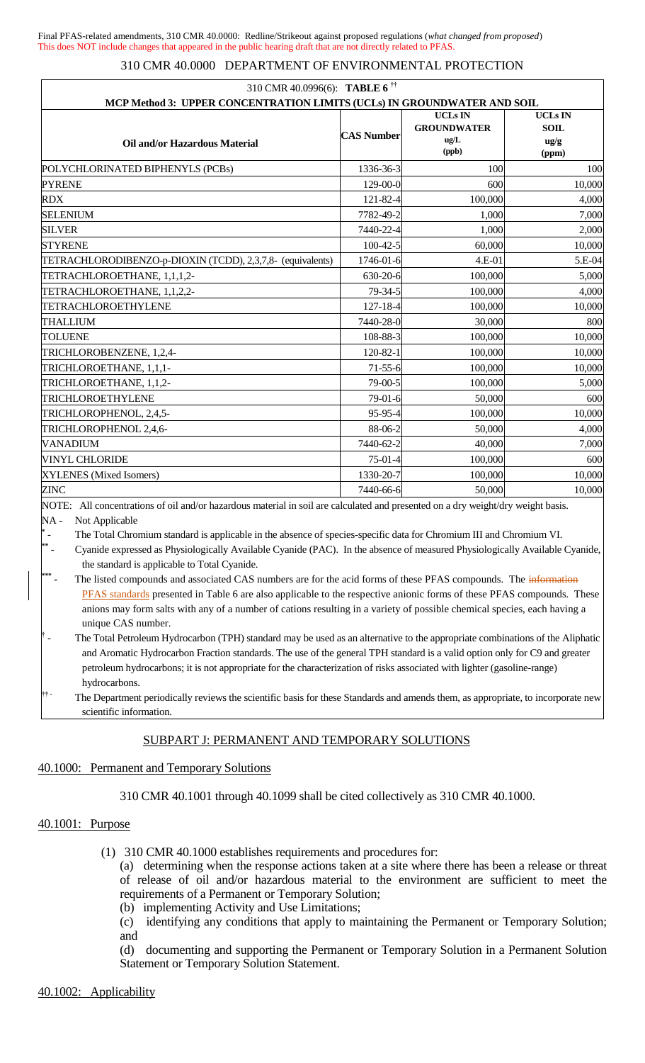| 310 CMR 40.0996(6): <b>TABLE 6</b> <sup>††</sup><br>MCP Method 3: UPPER CONCENTRATION LIMITS (UCLs) IN GROUNDWATER AND SOIL |                   |                                                       |                                                           |  |  |
|-----------------------------------------------------------------------------------------------------------------------------|-------------------|-------------------------------------------------------|-----------------------------------------------------------|--|--|
| Oil and/or Hazardous Material                                                                                               | <b>CAS Number</b> | <b>UCLs IN</b><br><b>GROUNDWATER</b><br>ug/L<br>(ppb) | <b>UCLs IN</b><br><b>SOIL</b><br>$\frac{u g}{g}$<br>(ppm) |  |  |
| POLYCHLORINATED BIPHENYLS (PCBs)                                                                                            | 1336-36-3         | 100                                                   | 100                                                       |  |  |
| <b>PYRENE</b>                                                                                                               | 129-00-0          | 600                                                   | 10,000                                                    |  |  |
| <b>RDX</b>                                                                                                                  | 121-82-4          | 100,000                                               | 4,000                                                     |  |  |
| <b>SELENIUM</b>                                                                                                             | 7782-49-2         | 1,000                                                 | 7,000                                                     |  |  |
| <b>SILVER</b>                                                                                                               | 7440-22-4         | 1,000                                                 | 2,000                                                     |  |  |
| <b>STYRENE</b>                                                                                                              | $100-42-5$        | 60,000                                                | 10,000                                                    |  |  |
| TETRACHLORODIBENZO-p-DIOXIN (TCDD), 2,3,7,8- (equivalents)                                                                  | 1746-01-6         | 4.E-01                                                | 5.E-04                                                    |  |  |
| TETRACHLOROETHANE, 1,1,1,2-                                                                                                 | 630-20-6          | 100,000                                               | 5,000                                                     |  |  |
| TETRACHLOROETHANE, 1,1,2,2-                                                                                                 | 79-34-5           | 100,000                                               | 4,000                                                     |  |  |
| TETRACHLOROETHYLENE                                                                                                         | $127 - 18 - 4$    | 100,000                                               | 10,000                                                    |  |  |
| <b>THALLIUM</b>                                                                                                             | 7440-28-0         | 30,000                                                | 800                                                       |  |  |
| <b>TOLUENE</b>                                                                                                              | 108-88-3          | 100,000                                               | 10,000                                                    |  |  |
| TRICHLOROBENZENE, 1,2,4-                                                                                                    | 120-82-1          | 100,000                                               | 10,000                                                    |  |  |
| TRICHLOROETHANE, 1,1,1-                                                                                                     | $71 - 55 - 6$     | 100,000                                               | 10,000                                                    |  |  |
| TRICHLOROETHANE, 1,1,2-                                                                                                     | 79-00-5           | 100,000                                               | 5,000                                                     |  |  |
| TRICHLOROETHYLENE                                                                                                           | 79-01-6           | 50,000                                                | 600                                                       |  |  |
| TRICHLOROPHENOL, 2,4,5-                                                                                                     | 95-95-4           | 100,000                                               | 10,000                                                    |  |  |
| TRICHLOROPHENOL 2,4,6-                                                                                                      | 88-06-2           | 50,000                                                | 4,000                                                     |  |  |
| <b>VANADIUM</b>                                                                                                             | 7440-62-2         | 40,000                                                | 7,000                                                     |  |  |
| <b>VINYL CHLORIDE</b>                                                                                                       | $75-01-4$         | 100,000                                               | 600                                                       |  |  |
| XYLENES (Mixed Isomers)                                                                                                     | 1330-20-7         | 100,000                                               | 10,000                                                    |  |  |
| <b>ZINC</b><br>$\mathbf{a}$ and $\mathbf{a}$ and $\mathbf{a}$ and $\mathbf{a}$                                              | 7440-66-6         | 50,000                                                | 10,000<br>$\cdot$ $\cdot$ $\cdot$ $\cdot$                 |  |  |

NOTE: All concentrations of oil and/or hazardous material in soil are calculated and presented on a dry weight/dry weight basis. NA - Not Applicable

**\*** The Total Chromium standard is applicable in the absence of species-specific data for Chromium III and Chromium VI.

- Cyanide expressed as Physiologically Available Cyanide (PAC). In the absence of measured Physiologically Available Cyanide, the standard is applicable to Total Cyanide.

**\*\*\*** The listed compounds and associated CAS numbers are for the acid forms of these PFAS compounds. The *information* PFAS standards presented in Table 6 are also applicable to the respective anionic forms of these PFAS compounds. These anions may form salts with any of a number of cations resulting in a variety of possible chemical species, each having a unique CAS number.

The Department periodically reviews the scientific basis for these Standards and amends them, as appropriate, to incorporate new scientific information.

# SUBPART J: PERMANENT AND TEMPORARY SOLUTIONS

#### 40.1000: Permanent and Temporary Solutions

310 CMR 40.1001 through 40.1099 shall be cited collectively as 310 CMR 40.1000.

## 40.1001: Purpose

**\*\***

(1) 310 CMR 40.1000 establishes requirements and procedures for:

(a) determining when the response actions taken at a site where there has been a release or threat of release of oil and/or hazardous material to the environment are sufficient to meet the requirements of a Permanent or Temporary Solution;

- (b) implementing Activity and Use Limitations;
- (c) identifying any conditions that apply to maintaining the Permanent or Temporary Solution; and

(d) documenting and supporting the Permanent or Temporary Solution in a Permanent Solution Statement or Temporary Solution Statement.

**<sup>†</sup>** The Total Petroleum Hydrocarbon (TPH) standard may be used as an alternative to the appropriate combinations of the Aliphatic and Aromatic Hydrocarbon Fraction standards. The use of the general TPH standard is a valid option only for C9 and greater petroleum hydrocarbons; it is not appropriate for the characterization of risks associated with lighter (gasoline-range) hydrocarbons.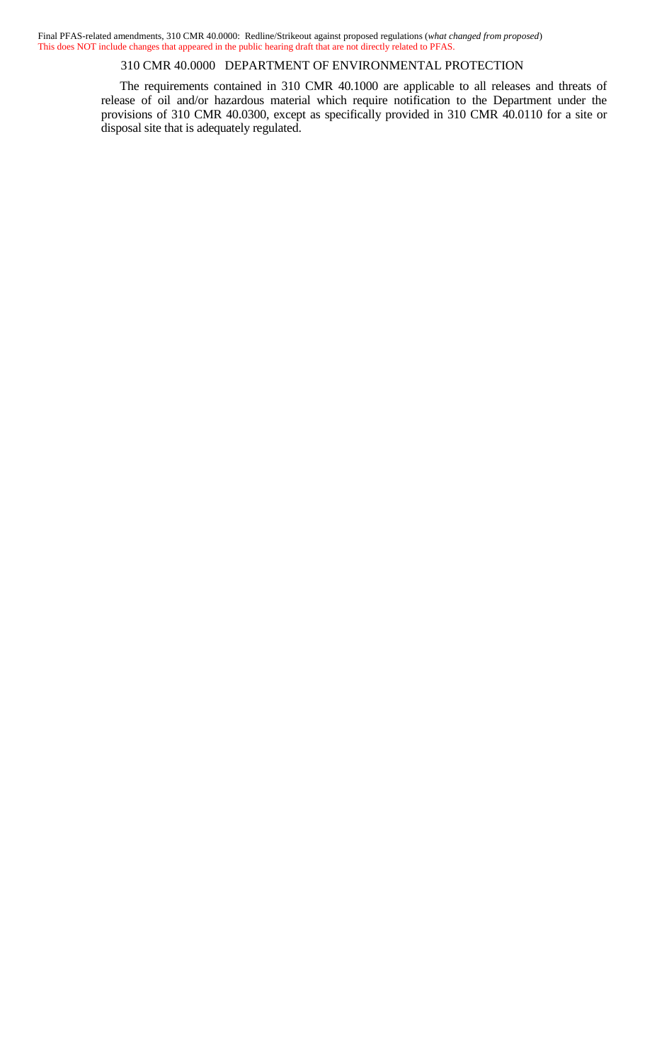310 CMR 40.0000 DEPARTMENT OF ENVIRONMENTAL PROTECTION

The requirements contained in 310 CMR 40.1000 are applicable to all releases and threats of release of oil and/or hazardous material which require notification to the Department under the provisions of 310 CMR 40.0300, except as specifically provided in 310 CMR 40.0110 for a site or disposal site that is adequately regulated.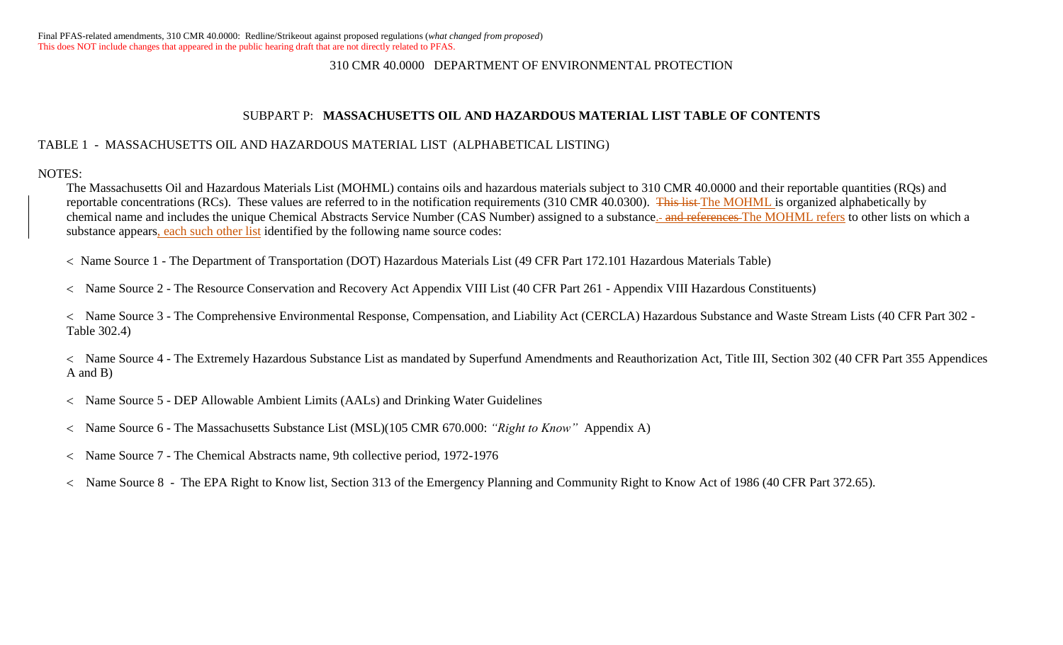### SUBPART P: **MASSACHUSETTS OIL AND HAZARDOUS MATERIAL LIST TABLE OF CONTENTS**

## TABLE 1 - MASSACHUSETTS OIL AND HAZARDOUS MATERIAL LIST (ALPHABETICAL LISTING)

NOTES:

The Massachusetts Oil and Hazardous Materials List (MOHML) contains oils and hazardous materials subject to 310 CMR 40.0000 and their reportable quantities (RQs) and reportable concentrations (RCs). These values are referred to in the notification requirements (310 CMR 40.0300). This list The MOHML is organized alphabetically by chemical name and includes the unique Chemical Abstracts Service Number (CAS Number) assigned to a substance.- and references The MOHML refers to other lists on which a substance appears, each such other list identified by the following name source codes:

Name Source 1 - The Department of Transportation (DOT) Hazardous Materials List (49 CFR Part 172.101 Hazardous Materials Table)

Name Source 2 - The Resource Conservation and Recovery Act Appendix VIII List (40 CFR Part 261 - Appendix VIII Hazardous Constituents)

 Name Source 3 - The Comprehensive Environmental Response, Compensation, and Liability Act (CERCLA) Hazardous Substance and Waste Stream Lists (40 CFR Part 302 - Table 302.4)

 Name Source 4 - The Extremely Hazardous Substance List as mandated by Superfund Amendments and Reauthorization Act, Title III, Section 302 (40 CFR Part 355 Appendices A and B)

- Name Source 5 DEP Allowable Ambient Limits (AALs) and Drinking Water Guidelines
- Name Source 6 The Massachusetts Substance List (MSL)(105 CMR 670.000: *"Right to Know"* Appendix A)
- Name Source 7 The Chemical Abstracts name, 9th collective period, 1972-1976
- Name Source 8 The EPA Right to Know list, Section 313 of the Emergency Planning and Community Right to Know Act of 1986 (40 CFR Part 372.65).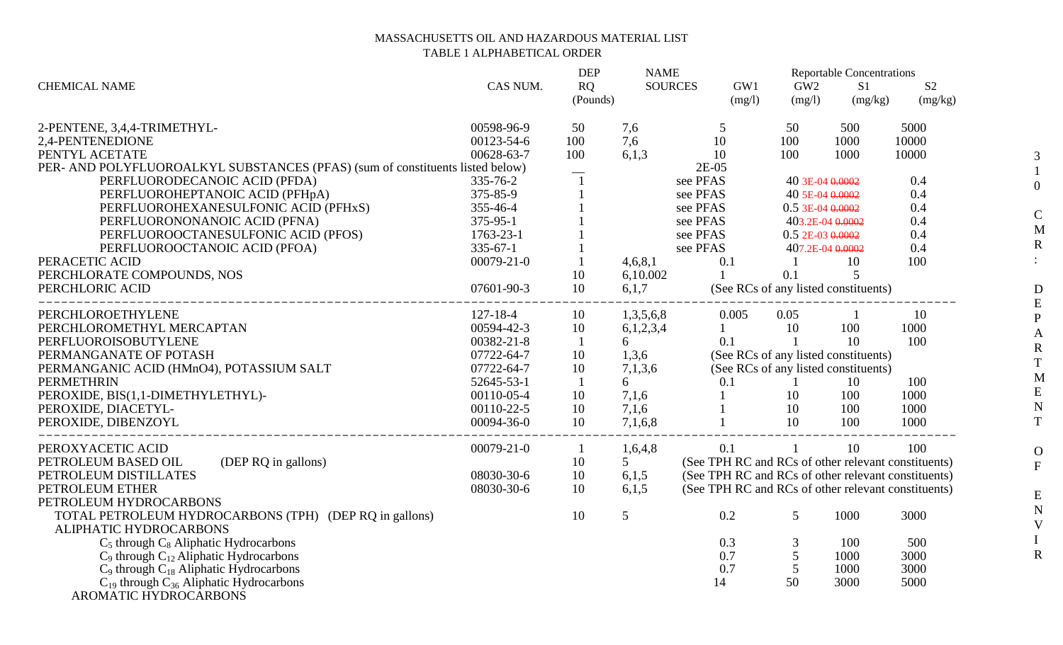## MASSACHUSETTS OIL AND HAZARDOUS MATERIAL LIST TABLE 1 ALPHABETICAL ORDER

| <b>CHEMICAL NAME</b>                                                             | CAS NUM.         | <b>DEP</b><br>RQ<br>(Pounds) | <b>NAME</b><br><b>SOURCES</b> | GW1<br>(mg/l)                                       | GW <sub>2</sub><br>(mg/l) | <b>Reportable Concentrations</b><br>S <sub>1</sub><br>(mg/kg) | S <sub>2</sub><br>(mg/kg) |
|----------------------------------------------------------------------------------|------------------|------------------------------|-------------------------------|-----------------------------------------------------|---------------------------|---------------------------------------------------------------|---------------------------|
| 2-PENTENE, 3,4,4-TRIMETHYL-                                                      | 00598-96-9       | 50                           | 7,6                           | 5                                                   | 50                        | 500                                                           | 5000                      |
| 2,4-PENTENEDIONE                                                                 | 00123-54-6       | 100                          | 7,6                           | 10                                                  | 100                       | 1000                                                          | 10000                     |
| PENTYL ACETATE                                                                   | 00628-63-7       | 100                          | 6,1,3                         | 10                                                  | 100                       | 1000                                                          | 10000                     |
| PER- AND POLYFLUOROALKYL SUBSTANCES (PFAS) (sum of constituents listed below)    |                  |                              |                               | $2E-05$                                             |                           |                                                               |                           |
| PERFLUORODECANOIC ACID (PFDA)                                                    | 335-76-2         |                              |                               | see PFAS                                            | 40 3E-04 0.0002           |                                                               | 0.4                       |
| PERFLUOROHEPTANOIC ACID (PFHpA)                                                  | 375-85-9         |                              |                               | see PFAS                                            | 40 5E-04 0.0002           |                                                               | 0.4                       |
| PERFLUOROHEXANESULFONIC ACID (PFHxS)                                             | 355-46-4         |                              |                               | see PFAS                                            | $0.5$ 3E-04 $0.0002$      |                                                               | 0.4                       |
| PERFLUORONONANOIC ACID (PFNA)                                                    | 375-95-1         |                              |                               | see PFAS                                            | 403.2E-04 0.0002          |                                                               | 0.4                       |
| PERFLUOROOCTANESULFONIC ACID (PFOS)                                              | 1763-23-1        |                              |                               | see PFAS                                            | $0.5$ 2E-03 $0.0002$      |                                                               | 0.4                       |
| PERFLUOROOCTANOIC ACID (PFOA)                                                    | $335 - 67 - 1$   |                              |                               | see PFAS                                            | 407.2E-04 0.0002          |                                                               | 0.4                       |
| PERACETIC ACID                                                                   | $00079 - 21 - 0$ |                              | 4,6,8,1                       | 0.1                                                 |                           | 10                                                            | 100                       |
| PERCHLORATE COMPOUNDS, NOS                                                       |                  | 10                           | 6,10.002                      |                                                     | 0.1                       | 5                                                             |                           |
| PERCHLORIC ACID<br>____________________________________                          | 07601-90-3       | 10                           | 6,1,7                         |                                                     |                           | (See RCs of any listed constituents)                          |                           |
| PERCHLOROETHYLENE                                                                | $127 - 18 - 4$   | 10                           | 1,3,5,6,8                     | 0.005                                               | 0.05                      |                                                               | 10                        |
| PERCHLOROMETHYL MERCAPTAN                                                        | 00594-42-3       | 10                           | 6,1,2,3,4                     |                                                     | 10                        | 100                                                           | 1000                      |
| PERFLUOROISOBUTYLENE                                                             | 00382-21-8       | $\mathbf{1}$                 | 6                             | 0.1                                                 | $\overline{1}$            | 10                                                            | 100                       |
| PERMANGANATE OF POTASH                                                           | 07722-64-7       | 10                           | 1,3,6                         |                                                     |                           | (See RCs of any listed constituents)                          |                           |
| PERMANGANIC ACID (HMnO4), POTASSIUM SALT                                         | 07722-64-7       | 10                           | 7,1,3,6                       | (See RCs of any listed constituents)                |                           |                                                               |                           |
| <b>PERMETHRIN</b>                                                                | 52645-53-1       | $\mathbf{1}$                 | 6                             | 0.1                                                 | -1                        | 10                                                            | 100                       |
| PEROXIDE, BIS(1,1-DIMETHYLETHYL)-                                                | 00110-05-4       | 10                           | 7,1,6                         | $\mathbf{1}$                                        | 10                        | 100                                                           | 1000                      |
| PEROXIDE, DIACETYL-                                                              | 00110-22-5       | 10                           | 7,1,6                         |                                                     | 10                        | 100                                                           | 1000                      |
| PEROXIDE, DIBENZOYL<br>_________________________________                         | 00094-36-0       | 10                           | 7,1,6,8                       |                                                     | 10                        | 100                                                           | 1000                      |
| PEROXYACETIC ACID                                                                | $00079 - 21 - 0$ | $\mathbf{1}$                 | 1,6,4,8                       | 0.1                                                 | $\mathbf{1}$              | 10                                                            | 100                       |
| (DEP RQ in gallons)<br>PETROLEUM BASED OIL                                       |                  | 10                           | 5                             | (See TPH RC and RCs of other relevant constituents) |                           |                                                               |                           |
| PETROLEUM DISTILLATES                                                            | 08030-30-6       | 10                           | 6,1,5                         | (See TPH RC and RCs of other relevant constituents) |                           |                                                               |                           |
| PETROLEUM ETHER                                                                  | 08030-30-6       | 10                           | 6,1,5                         | (See TPH RC and RCs of other relevant constituents) |                           |                                                               |                           |
| PETROLEUM HYDROCARBONS                                                           |                  |                              |                               |                                                     |                           |                                                               |                           |
| TOTAL PETROLEUM HYDROCARBONS (TPH) (DEP RQ in gallons)<br>ALIPHATIC HYDROCARBONS |                  | 10                           | 5                             | 0.2                                                 | 5                         | 1000                                                          | 3000                      |
| $C_5$ through $C_8$ Aliphatic Hydrocarbons                                       |                  |                              |                               | 0.3                                                 | 3                         | 100                                                           | 500                       |
| $C_9$ through $C_{12}$ Aliphatic Hydrocarbons                                    |                  |                              |                               | 0.7                                                 | 5                         | 1000                                                          | 3000                      |
| $C_9$ through $C_{18}$ Aliphatic Hydrocarbons                                    |                  |                              |                               | 0.7                                                 | 5                         | 1000                                                          | 3000                      |
| $C_{19}$ through $C_{36}$ Aliphatic Hydrocarbons                                 |                  |                              |                               | 14                                                  | 50                        | 3000                                                          | 5000                      |
| AROMATIC HYDROCARBONS                                                            |                  |                              |                               |                                                     |                           |                                                               |                           |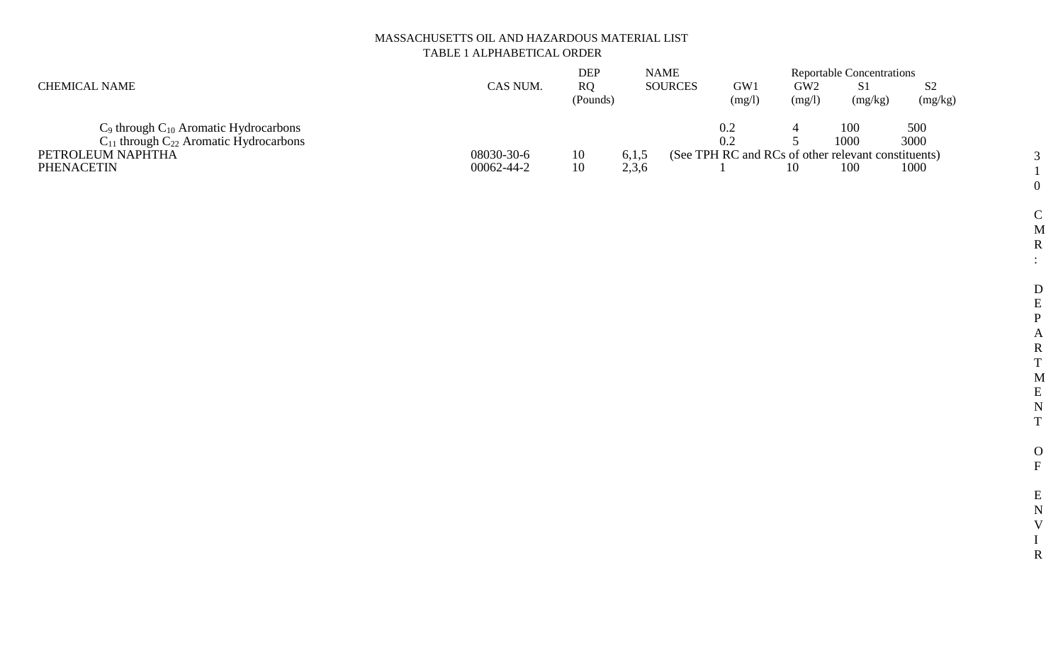# MASSACHUSETTS OIL AND HAZARDOUS MATERIAL LIST TABLE 1 ALPHABETICAL ORDER

|                                                 |            | DEP                   | <b>NAME</b>    |                                                     | <b>Reportable Concentrations</b> |               |               |  |
|-------------------------------------------------|------------|-----------------------|----------------|-----------------------------------------------------|----------------------------------|---------------|---------------|--|
| <b>CHEMICAL NAME</b>                            | CAS NUM.   | <b>RO</b><br>(Pounds) | <b>SOURCES</b> | GW1<br>(mg/l)                                       | GW <sub>2</sub><br>(mg/l)        | S1<br>(mg/kg) | S2<br>(mg/kg) |  |
| $C_9$ through $C_{10}$ Aromatic Hydrocarbons    |            |                       |                | 0.2                                                 |                                  | 100           | 500           |  |
| $C_{11}$ through $C_{22}$ Aromatic Hydrocarbons |            |                       |                | 0.2                                                 |                                  | 1000          | 3000          |  |
| PETROLEUM NAPHTHA                               | 08030-30-6 | 10                    | 6,1,5          | (See TPH RC and RCs of other relevant constituents) |                                  |               |               |  |
| <b>PHENACETIN</b>                               | 00062-44-2 | 10                    | 2,3,6          |                                                     |                                  | 100           | 1000          |  |